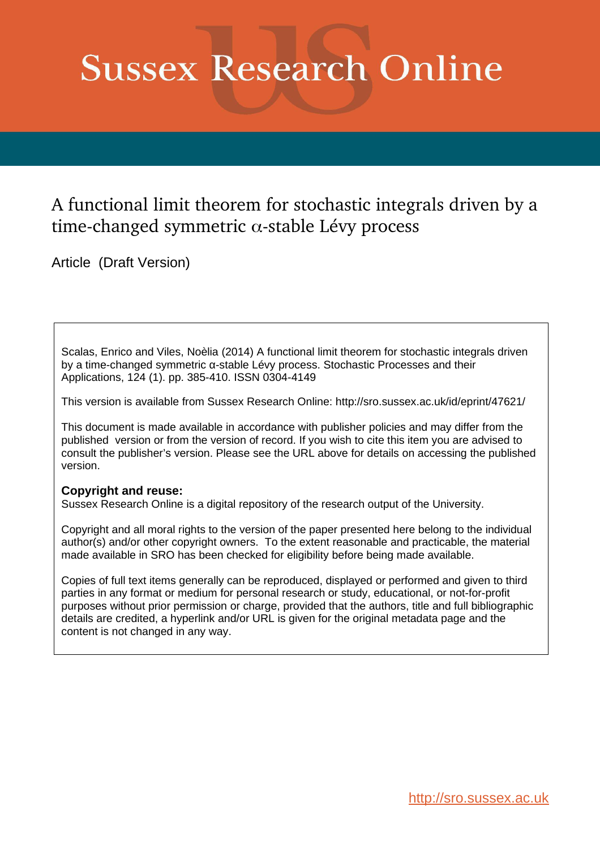# **Sussex Research Online**

# A functional limit theorem for stochastic integrals driven by a time-changed symmetric  $\alpha$ -stable Lévy process

Article (Draft Version)

Scalas, Enrico and Viles, Noèlia (2014) A functional limit theorem for stochastic integrals driven by a time-changed symmetric α-stable Lévy process. Stochastic Processes and their Applications, 124 (1). pp. 385-410. ISSN 0304-4149

This version is available from Sussex Research Online: http://sro.sussex.ac.uk/id/eprint/47621/

This document is made available in accordance with publisher policies and may differ from the published version or from the version of record. If you wish to cite this item you are advised to consult the publisher's version. Please see the URL above for details on accessing the published version.

# **Copyright and reuse:**

Sussex Research Online is a digital repository of the research output of the University.

Copyright and all moral rights to the version of the paper presented here belong to the individual author(s) and/or other copyright owners. To the extent reasonable and practicable, the material made available in SRO has been checked for eligibility before being made available.

Copies of full text items generally can be reproduced, displayed or performed and given to third parties in any format or medium for personal research or study, educational, or not-for-profit purposes without prior permission or charge, provided that the authors, title and full bibliographic details are credited, a hyperlink and/or URL is given for the original metadata page and the content is not changed in any way.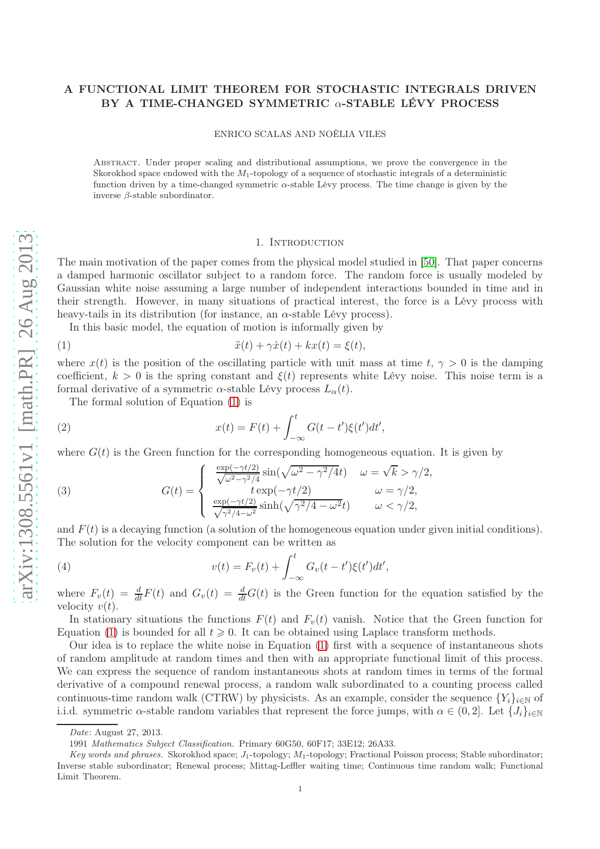# A FUNCTIONAL LIMIT THEOREM FOR STOCHASTIC INTEGRALS DRIVEN BY A TIME-CHANGED SYMMETRIC  $\alpha$ -STABLE LÉVY PROCESS

ENRICO SCALAS AND NOÈLIA VILES

Abstract. Under proper scaling and distributional assumptions, we prove the convergence in the Skorokhod space endowed with the  $M_1$ -topology of a sequence of stochastic integrals of a deterministic function driven by a time-changed symmetric α-stable Lévy process. The time change is given by the inverse β-stable subordinator.

#### <span id="page-1-0"></span>1. INTRODUCTION

The main motivation of the paper comes from the physical model studied in [\[50\]](#page-20-0). That paper concerns a damped harmonic oscillator subject to a random force. The random force is usually modeled by Gaussian white noise assuming a large number of independent interactions bounded in time and in their strength. However, in many situations of practical interest, the force is a Lévy process with heavy-tails in its distribution (for instance, an  $\alpha$ -stable Lévy process).

In this basic model, the equation of motion is informally given by

$$
\ddot{x}(t) + \gamma \dot{x}(t) + kx(t) = \xi(t),
$$

where  $x(t)$  is the position of the oscillating particle with unit mass at time t,  $\gamma > 0$  is the damping coefficient,  $k > 0$  is the spring constant and  $\xi(t)$  represents white Lévy noise. This noise term is a formal derivative of a symmetric  $\alpha$ -stable Lévy process  $L_{\alpha}(t)$ .

<span id="page-1-1"></span>The formal solution of Equation [\(1\)](#page-1-0) is

(2) 
$$
x(t) = F(t) + \int_{-\infty}^{t} G(t - t')\xi(t')dt',
$$

where  $G(t)$  is the Green function for the corresponding homogeneous equation. It is given by

<span id="page-1-2"></span>(3) 
$$
G(t) = \begin{cases} \frac{\exp(-\gamma t/2)}{\sqrt{\omega^2 - \gamma^2/4}} \sin(\sqrt{\omega^2 - \gamma^2/4}t) & \omega = \sqrt{k} > \gamma/2, \\ t \exp(-\gamma t/2) & \omega = \gamma/2, \\ \frac{\exp(-\gamma t/2)}{\sqrt{\gamma^2/4 - \omega^2}} \sinh(\sqrt{\gamma^2/4 - \omega^2}t) & \omega < \gamma/2, \end{cases}
$$

and  $F(t)$  is a decaying function (a solution of the homogeneous equation under given initial conditions). The solution for the velocity component can be written as

(4) 
$$
v(t) = F_v(t) + \int_{-\infty}^t G_v(t - t')\xi(t')dt',
$$

where  $F_v(t) = \frac{d}{dt}F(t)$  and  $G_v(t) = \frac{d}{dt}G(t)$  is the Green function for the equation satisfied by the velocity  $v(t)$ .

In stationary situations the functions  $F(t)$  and  $F_v(t)$  vanish. Notice that the Green function for Equation [\(1\)](#page-1-0) is bounded for all  $t \geq 0$ . It can be obtained using Laplace transform methods.

Our idea is to replace the white noise in Equation [\(1\)](#page-1-0) first with a sequence of instantaneous shots of random amplitude at random times and then with an appropriate functional limit of this process. We can express the sequence of random instantaneous shots at random times in terms of the formal derivative of a compound renewal process, a random walk subordinated to a counting process called continuous-time random walk (CTRW) by physicists. As an example, consider the sequence  ${Y_i}_{i \in \mathbb{N}}$  of i.i.d. symmetric  $\alpha$ -stable random variables that represent the force jumps, with  $\alpha \in (0, 2]$ . Let  $\{J_i\}_{i\in\mathbb{N}}$ 

Date: August 27, 2013.

<sup>1991</sup> Mathematics Subject Classification. Primary 60G50, 60F17; 33E12; 26A33.

Key words and phrases. Skorokhod space;  $J_1$ -topology;  $M_1$ -topology; Fractional Poisson process; Stable subordinator; Inverse stable subordinator; Renewal process; Mittag-Leffler waiting time; Continuous time random walk; Functional Limit Theorem.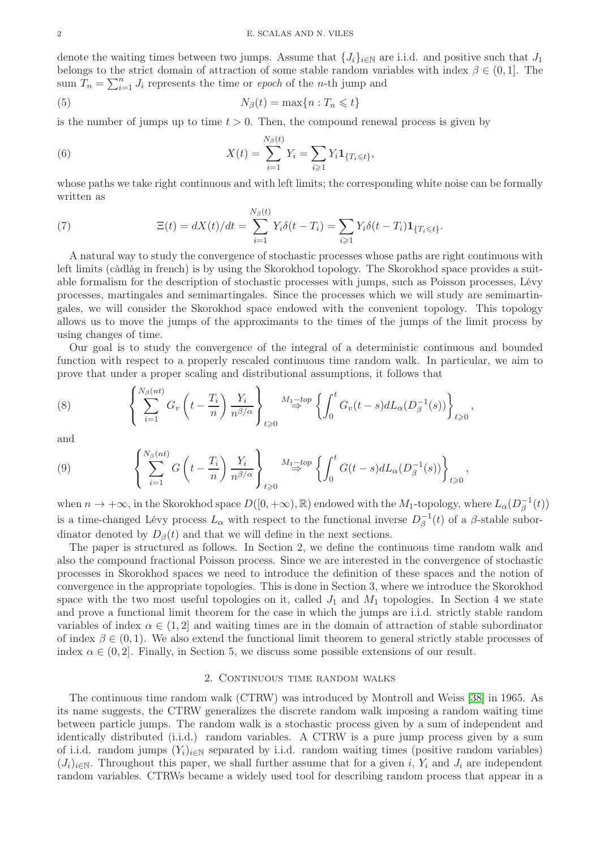denote the waiting times between two jumps. Assume that  $\{J_i\}_{i\in\mathbb{N}}$  are i.i.d. and positive such that  $J_1$ belongs to the strict domain of attraction of some stable random variables with index  $\beta \in (0,1]$ . The sum  $\tilde{T}_n = \sum_{i=1}^n J_i$  represents the time or epoch of the n-th jump and

(5) 
$$
N_{\beta}(t) = \max\{n : T_n \leq t\}
$$

is the number of jumps up to time  $t > 0$ . Then, the compound renewal process is given by

(6) 
$$
X(t) = \sum_{i=1}^{N_{\beta}(t)} Y_i = \sum_{i \geq 1} Y_i \mathbf{1}_{\{T_i \leq t\}},
$$

whose paths we take right continuous and with left limits; the corresponding white noise can be formally written as

<span id="page-2-0"></span>(7) 
$$
\Xi(t) = dX(t)/dt = \sum_{i=1}^{N_{\beta}(t)} Y_i \delta(t - T_i) = \sum_{i \geq 1} Y_i \delta(t - T_i) \mathbf{1}_{\{T_i \leq t\}}.
$$

A natural way to study the convergence of stochastic processes whose paths are right continuous with left limits (càdlàg in french) is by using the Skorokhod topology. The Skorokhod space provides a suitable formalism for the description of stochastic processes with jumps, such as Poisson processes, Lévy processes, martingales and semimartingales. Since the processes which we will study are semimartingales, we will consider the Skorokhod space endowed with the convenient topology. This topology allows us to move the jumps of the approximants to the times of the jumps of the limit process by using changes of time.

Our goal is to study the convergence of the integral of a deterministic continuous and bounded function with respect to a properly rescaled continuous time random walk. In particular, we aim to prove that under a proper scaling and distributional assumptions, it follows that

,

(8) 
$$
\left\{\sum_{i=1}^{N_{\beta}(nt)} G_v\left(t-\frac{T_i}{n}\right) \frac{Y_i}{n^{\beta/\alpha}}\right\}_{t\geq 0} \stackrel{M_1-top}{\Rightarrow} \left\{\int_0^t G_v(t-s) dL_{\alpha}(D_{\beta}^{-1}(s))\right\}_{t\geq 0}
$$

and

(9) 
$$
\left\{\sum_{i=1}^{N_{\beta}(nt)} G\left(t-\frac{T_i}{n}\right) \frac{Y_i}{n^{\beta/\alpha}}\right\}_{t\geq 0} \stackrel{M_1-top}{\rightarrow} \left\{\int_0^t G(t-s) dL_{\alpha}(D_{\beta}^{-1}(s))\right\}_{t\geq 0},
$$

when  $n \to +\infty$ , in the Skorokhod space  $D([0, +\infty), \mathbb{R})$  endowed with the  $M_1$ -topology, where  $L_{\alpha}(D_{\beta}^{-1})$  $\bar{\mathbf{z}}^{(t)}(t)$ is a time-changed Lévy process  $L_{\alpha}$  with respect to the functional inverse  $D_{\beta}^{-1}$  $_{\beta}^{-1}(t)$  of a  $\beta$ -stable subordinator denoted by  $D_{\beta}(t)$  and that we will define in the next sections.

The paper is structured as follows. In Section 2, we define the continuous time random walk and also the compound fractional Poisson process. Since we are interested in the convergence of stochastic processes in Skorokhod spaces we need to introduce the definition of these spaces and the notion of convergence in the appropriate topologies. This is done in Section 3, where we introduce the Skorokhod space with the two most useful topologies on it, called  $J_1$  and  $M_1$  topologies. In Section 4 we state and prove a functional limit theorem for the case in which the jumps are i.i.d. strictly stable random variables of index  $\alpha \in (1,2]$  and waiting times are in the domain of attraction of stable subordinator of index  $\beta \in (0,1)$ . We also extend the functional limit theorem to general strictly stable processes of index  $\alpha \in (0, 2]$ . Finally, in Section 5, we discuss some possible extensions of our result.

### 2. CONTINUOUS TIME RANDOM WALKS

The continuous time random walk (CTRW) was introduced by Montroll and Weiss [\[38\]](#page-20-1) in 1965. As its name suggests, the CTRW generalizes the discrete random walk imposing a random waiting time between particle jumps. The random walk is a stochastic process given by a sum of independent and identically distributed (i.i.d.) random variables. A CTRW is a pure jump process given by a sum of i.i.d. random jumps  $(Y_i)_{i\in\mathbb{N}}$  separated by i.i.d. random waiting times (positive random variables)  $(J_i)_{i\in\mathbb{N}}$ . Throughout this paper, we shall further assume that for a given i, Y<sub>i</sub> and  $J_i$  are independent random variables. CTRWs became a widely used tool for describing random process that appear in a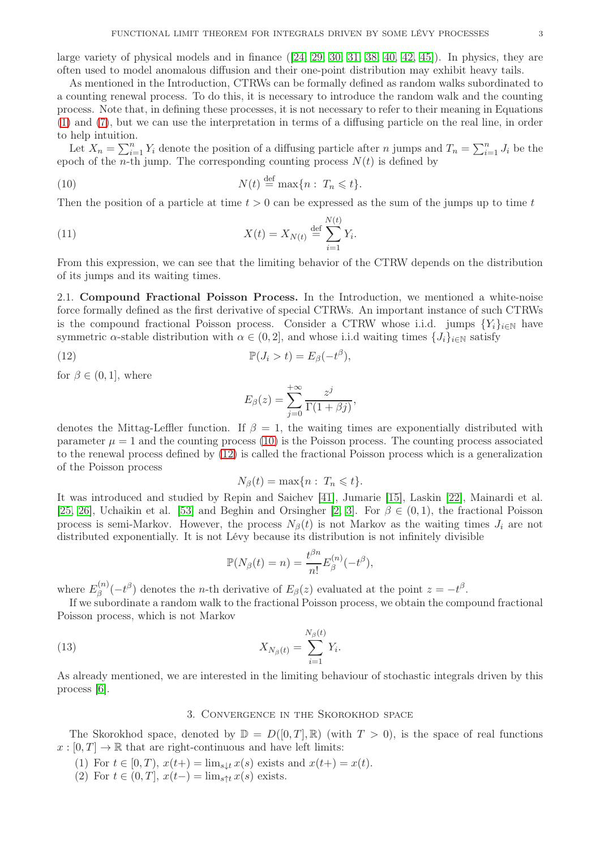large variety of physical models and in finance  $([24, 29, 30, 31, 38, 40, 42, 45])$  $([24, 29, 30, 31, 38, 40, 42, 45])$  $([24, 29, 30, 31, 38, 40, 42, 45])$  $([24, 29, 30, 31, 38, 40, 42, 45])$  $([24, 29, 30, 31, 38, 40, 42, 45])$  $([24, 29, 30, 31, 38, 40, 42, 45])$  $([24, 29, 30, 31, 38, 40, 42, 45])$  $([24, 29, 30, 31, 38, 40, 42, 45])$  $([24, 29, 30, 31, 38, 40, 42, 45])$  $([24, 29, 30, 31, 38, 40, 42, 45])$ . In physics, they are often used to model anomalous diffusion and their one-point distribution may exhibit heavy tails.

As mentioned in the Introduction, CTRWs can be formally defined as random walks subordinated to a counting renewal process. To do this, it is necessary to introduce the random walk and the counting process. Note that, in defining these processes, it is not necessary to refer to their meaning in Equations [\(1\)](#page-1-0) and [\(7\)](#page-2-0), but we can use the interpretation in terms of a diffusing particle on the real line, in order to help intuition.

Let  $X_n = \sum_{i=1}^n Y_i$  denote the position of a diffusing particle after *n* jumps and  $T_n = \sum_{i=1}^n J_i$  be the epoch of the *n*-th jump. The corresponding counting process  $N(t)$  is defined by

<span id="page-3-0"></span>(10) 
$$
N(t) \stackrel{\text{def}}{=} \max\{n : T_n \leqslant t\}.
$$

Then the position of a particle at time  $t > 0$  can be expressed as the sum of the jumps up to time t

(11) 
$$
X(t) = X_{N(t)} \stackrel{\text{def}}{=} \sum_{i=1}^{N(t)} Y_i.
$$

From this expression, we can see that the limiting behavior of the CTRW depends on the distribution of its jumps and its waiting times.

2.1. Compound Fractional Poisson Process. In the Introduction, we mentioned a white-noise force formally defined as the first derivative of special CTRWs. An important instance of such CTRWs is the compound fractional Poisson process. Consider a CTRW whose i.i.d. jumps  ${Y_i}_{i\in\mathbb{N}}$  have symmetric  $\alpha$ -stable distribution with  $\alpha \in (0, 2]$ , and whose i.i.d waiting times  $\{J_i\}_{i\in\mathbb{N}}$  satisfy

(12) 
$$
\mathbb{P}(J_i > t) = E_{\beta}(-t^{\beta}),
$$

for  $\beta \in (0, 1]$ , where

<span id="page-3-1"></span>
$$
E_{\beta}(z) = \sum_{j=0}^{+\infty} \frac{z^j}{\Gamma(1+\beta j)},
$$

denotes the Mittag-Leffler function. If  $\beta = 1$ , the waiting times are exponentially distributed with parameter  $\mu = 1$  and the counting process [\(10\)](#page-3-0) is the Poisson process. The counting process associated to the renewal process defined by [\(12\)](#page-3-1) is called the fractional Poisson process which is a generalization of the Poisson process

$$
N_{\beta}(t) = \max\{n : T_n \leq t\}.
$$

It was introduced and studied by Repin and Saichev [\[41\]](#page-20-5), Jumarie [\[15\]](#page-19-4), Laskin [\[22\]](#page-19-5), Mainardi et al. [\[25,](#page-19-6) [26\]](#page-19-7), Uchaikin et al. [\[53\]](#page-20-6) and Beghin and Orsingher [\[2,](#page-19-8) [3\]](#page-19-9). For  $\beta \in (0,1)$ , the fractional Poisson process is semi-Markov. However, the process  $N_{\beta}(t)$  is not Markov as the waiting times  $J_i$  are not distributed exponentially. It is not Lévy because its distribution is not infinitely divisible

$$
\mathbb{P}(N_{\beta}(t)=n)=\frac{t^{\beta n}}{n!}E_{\beta}^{(n)}(-t^{\beta}),
$$

where  $E_{\beta}^{(n)}$  $S_{\beta}^{(n)}(-t^{\beta})$  denotes the *n*-th derivative of  $E_{\beta}(z)$  evaluated at the point  $z = -t^{\beta}$ .

If we subordinate a random walk to the fractional Poisson process, we obtain the compound fractional Poisson process, which is not Markov

(13) 
$$
X_{N_{\beta}(t)} = \sum_{i=1}^{N_{\beta}(t)} Y_i.
$$

<span id="page-3-2"></span>As already mentioned, we are interested in the limiting behaviour of stochastic integrals driven by this process [\[6\]](#page-19-10).

# 3. Convergence in the Skorokhod space

The Skorokhod space, denoted by  $\mathbb{D} = D([0,T], \mathbb{R})$  (with  $T > 0$ ), is the space of real functions  $x : [0, T] \to \mathbb{R}$  that are right-continuous and have left limits:

- (1) For  $t \in [0, T)$ ,  $x(t+) = \lim_{s \downarrow t} x(s)$  exists and  $x(t+) = x(t)$ .
- (2) For  $t \in (0, T]$ ,  $x(t-) = \lim_{s \uparrow t} x(s)$  exists.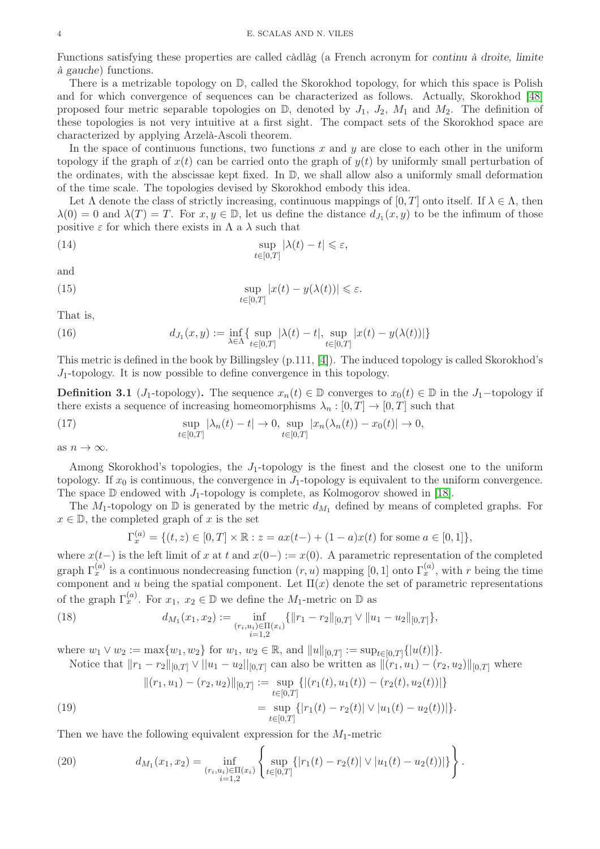Functions satisfying these properties are called càdlàg (a French acronym for continu à droite, limite à gauche) functions.

There is a metrizable topology on D, called the Skorokhod topology, for which this space is Polish and for which convergence of sequences can be characterized as follows. Actually, Skorokhod [\[48\]](#page-20-7) proposed four metric separable topologies on  $\mathbb{D}$ , denoted by  $J_1$ ,  $J_2$ ,  $M_1$  and  $M_2$ . The definition of these topologies is not very intuitive at a first sight. The compact sets of the Skorokhod space are characterized by applying Arzelà-Ascoli theorem.

In the space of continuous functions, two functions  $x$  and  $y$  are close to each other in the uniform topology if the graph of  $x(t)$  can be carried onto the graph of  $y(t)$  by uniformly small perturbation of the ordinates, with the abscissae kept fixed. In D, we shall allow also a uniformly small deformation of the time scale. The topologies devised by Skorokhod embody this idea.

Let  $\Lambda$  denote the class of strictly increasing, continuous mappings of [0, T] onto itself. If  $\lambda \in \Lambda$ , then  $\lambda(0) = 0$  and  $\lambda(T) = T$ . For  $x, y \in \mathbb{D}$ , let us define the distance  $d_{J_1}(x, y)$  to be the infimum of those positive  $\varepsilon$  for which there exists in  $\Lambda$  a  $\lambda$  such that

(14) 
$$
\sup_{t\in[0,T]}|\lambda(t)-t|\leqslant\varepsilon,
$$

and

(15) 
$$
\sup_{t\in[0,T]}|x(t)-y(\lambda(t))|\leq \varepsilon.
$$

That is,

(16) 
$$
d_{J_1}(x,y) := \inf_{\lambda \in \Lambda} \{ \sup_{t \in [0,T]} |\lambda(t) - t|, \sup_{t \in [0,T]} |x(t) - y(\lambda(t))| \}
$$

This metric is defined in the book by Billingsley (p.111, [\[4\]](#page-19-11)). The induced topology is called Skorokhod's  $J_1$ -topology. It is now possible to define convergence in this topology.

**Definition 3.1** (J<sub>1</sub>-topology). The sequence  $x_n(t) \in \mathbb{D}$  converges to  $x_0(t) \in \mathbb{D}$  in the J<sub>1</sub>-topology if there exists a sequence of increasing homeomorphisms  $\lambda_n : [0, T] \to [0, T]$  such that

(17) 
$$
\sup_{t \in [0,T]} |\lambda_n(t) - t| \to 0, \sup_{t \in [0,T]} |x_n(\lambda_n(t)) - x_0(t)| \to 0,
$$

as  $n \to \infty$ .

Among Skorokhod's topologies, the  $J_1$ -topology is the finest and the closest one to the uniform topology. If  $x_0$  is continuous, the convergence in  $J_1$ -topology is equivalent to the uniform convergence. The space  $\mathbb D$  endowed with  $J_1$ -topology is complete, as Kolmogorov showed in [\[18\]](#page-19-12).

The  $M_1$ -topology on  $\mathbb D$  is generated by the metric  $d_{M_1}$  defined by means of completed graphs. For  $x \in \mathbb{D}$ , the completed graph of x is the set

$$
\Gamma_x^{(a)} = \{ (t, z) \in [0, T] \times \mathbb{R} : z = ax(t-) + (1 - a)x(t) \text{ for some } a \in [0, 1] \},
$$

where  $x(t-)$  is the left limit of x at t and  $x(0-) := x(0)$ . A parametric representation of the completed graph  $\Gamma_x^{(a)}$  is a continuous nondecreasing function  $(r, u)$  mapping  $[0, 1]$  onto  $\Gamma_x^{(a)}$ , with r being the time component and u being the spatial component. Let  $\Pi(x)$  denote the set of parametric representations of the graph  $\Gamma_x^{(a)}$ . For  $x_1, x_2 \in \mathbb{D}$  we define the  $M_1$ -metric on  $\mathbb D$  as

(18) 
$$
d_{M_1}(x_1,x_2) := \inf_{\substack{(r_i,u_i) \in \Pi(x_i) \\ i=1,2}} \{ ||r_1 - r_2||_{[0,T]} \vee ||u_1 - u_2||_{[0,T]} \},\
$$

where  $w_1 \vee w_2 := \max\{w_1, w_2\}$  for  $w_1, w_2 \in \mathbb{R}$ , and  $||u||_{[0,T]} := \sup_{t \in [0,T]} \{|u(t)|\}.$ 

Notice that  $||r_1 - r_2||_{[0,T]} \vee ||u_1 - u_2||_{[0,T]}$  can also be written as  $||(r_1, u_1) - (r_2, u_2)||_{[0,T]}$  where

<span id="page-4-0"></span>(19) 
$$
\begin{aligned} \|(r_1, u_1) - (r_2, u_2)\|_{[0,T]} &:= \sup_{t \in [0,T]} \{ |(r_1(t), u_1(t)) - (r_2(t), u_2(t))| \} \\ &= \sup_{t \in [0,T]} \{ |r_1(t) - r_2(t)| \vee |u_1(t) - u_2(t))| \}. \end{aligned}
$$

Then we have the following equivalent expression for the  $M_1$ -metric

(20) 
$$
d_{M_1}(x_1,x_2) = \inf_{\substack{(r_i,u_i)\in\Pi(x_i)\\i=1,2}} \left\{ \sup_{t\in[0,T]} \left\{ |r_1(t) - r_2(t)| \vee |u_1(t) - u_2(t)| \right\} \right\}.
$$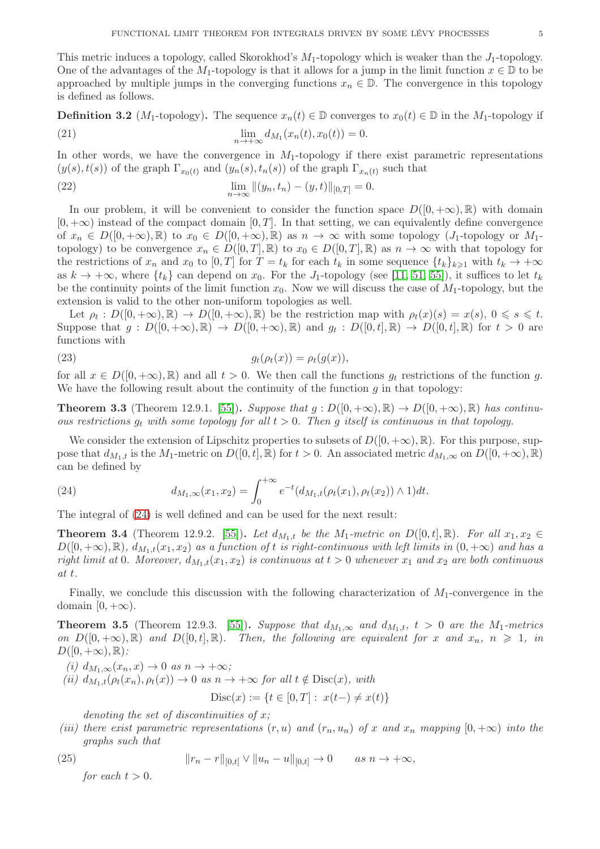This metric induces a topology, called Skorokhod's  $M_1$ -topology which is weaker than the  $J_1$ -topology. One of the advantages of the M<sub>1</sub>-topology is that it allows for a jump in the limit function  $x \in \mathbb{D}$  to be approached by multiple jumps in the converging functions  $x_n \in \mathbb{D}$ . The convergence in this topology is defined as follows.

**Definition 3.2** ( $M_1$ -topology). The sequence  $x_n(t) \in \mathbb{D}$  converges to  $x_0(t) \in \mathbb{D}$  in the  $M_1$ -topology if (21)  $\lim_{n \to +\infty} d_{M_1}(x_n(t), x_0(t)) = 0.$ 

In other words, we have the convergence in  $M_1$ -topology if there exist parametric representations  $(y(s), t(s))$  of the graph  $\Gamma_{x_0(t)}$  and  $(y_n(s), t_n(s))$  of the graph  $\Gamma_{x_n(t)}$  such that

(22) 
$$
\lim_{n \to \infty} ||(y_n, t_n) - (y, t)||_{[0,T]} = 0.
$$

In our problem, it will be convenient to consider the function space  $D([0, +\infty), \mathbb{R})$  with domain  $[0, +\infty)$  instead of the compact domain  $[0, T]$ . In that setting, we can equivalently define convergence of  $x_n \in D([0,+\infty),\mathbb{R})$  to  $x_0 \in D([0,+\infty),\mathbb{R})$  as  $n \to \infty$  with some topology  $(J_1$ -topology or  $M_1$ topology) to be convergence  $x_n \in D([0,T], \mathbb{R})$  to  $x_0 \in D([0,T], \mathbb{R})$  as  $n \to \infty$  with that topology for the restrictions of  $x_n$  and  $x_0$  to  $[0, T]$  for  $T = t_k$  for each  $t_k$  in some sequence  $\{t_k\}_{k\geq 1}$  with  $t_k \to +\infty$ as  $k \to +\infty$ , where  $\{t_k\}$  can depend on  $x_0$ . For the J<sub>1</sub>-topology (see [\[11,](#page-19-13) [51,](#page-20-8) [55\]](#page-20-9)), it suffices to let  $t_k$ be the continuity points of the limit function  $x_0$ . Now we will discuss the case of  $M_1$ -topology, but the extension is valid to the other non-uniform topologies as well.

Let  $\rho_t: D([0, +\infty), \mathbb{R}) \to D([0, +\infty), \mathbb{R})$  be the restriction map with  $\rho_t(x)(s) = x(s), 0 \le s \le t$ . Suppose that  $g: D([0,+\infty),\mathbb{R}) \to D([0,+\infty),\mathbb{R})$  and  $g_t: D([0,t],\mathbb{R}) \to D([0,t],\mathbb{R})$  for  $t > 0$  are functions with

$$
(23) \t\t g_t(\rho_t(x)) = \rho_t(g(x)),
$$

for all  $x \in D([0, +\infty), \mathbb{R})$  and all  $t > 0$ . We then call the functions  $g_t$  restrictions of the function g. We have the following result about the continuity of the function  $g$  in that topology:

**Theorem 3.3** (Theorem 12.9.1. [\[55\]](#page-20-9)). Suppose that  $q : D([0, +\infty), \mathbb{R}) \to D([0, +\infty), \mathbb{R})$  has continuous restrictions  $g_t$  with some topology for all  $t > 0$ . Then g itself is continuous in that topology.

We consider the extension of Lipschitz properties to subsets of  $D([0, +\infty), \mathbb{R})$ . For this purpose, suppose that  $d_{M_1,t}$  is the  $M_1$ -metric on  $D([0,t], \mathbb{R})$  for  $t > 0$ . An associated metric  $d_{M_1,\infty}$  on  $D([0,+\infty), \mathbb{R})$ can be defined by

<span id="page-5-0"></span>(24) 
$$
d_{M_1,\infty}(x_1,x_2) = \int_0^{+\infty} e^{-t} (d_{M_1,t}(\rho_t(x_1), \rho_t(x_2)) \wedge 1) dt.
$$

The integral of [\(24\)](#page-5-0) is well defined and can be used for the next result:

**Theorem 3.4** (Theorem 12.9.2. [\[55\]](#page-20-9)). Let  $d_{M_1,t}$  be the  $M_1$ -metric on  $D([0,t],\mathbb{R})$ . For all  $x_1, x_2 \in$  $D([0, +\infty), \mathbb{R})$ ,  $d_{M_1,t}(x_1, x_2)$  as a function of t is right-continuous with left limits in  $(0, +\infty)$  and has a right limit at 0. Moreover,  $d_{M_1,t}(x_1, x_2)$  is continuous at  $t > 0$  whenever  $x_1$  and  $x_2$  are both continuous at t.

Finally, we conclude this discussion with the following characterization of  $M_1$ -convergence in the domain  $[0, +\infty)$ .

**Theorem 3.5** (Theorem 12.9.3. [\[55\]](#page-20-9)). Suppose that  $d_{M_1,\infty}$  and  $d_{M_1,t}$ ,  $t > 0$  are the  $M_1$ -metrics on  $D([0, +\infty), \mathbb{R})$  and  $D([0, t], \mathbb{R})$ . Then, the following are equivalent for x and  $x_n$ ,  $n \geq 1$ , in  $D([0, +\infty), \mathbb{R})$ :

(i)  $d_{M_1,\infty}(x_n,x) \to 0$  as  $n \to +\infty$ ;

(ii)  $d_{M_1,t}(\rho_t(x_n), \rho_t(x)) \to 0$  as  $n \to +\infty$  for all  $t \notin \text{Disc}(x)$ , with

$$
Disc(x) := \{ t \in [0, T] : x(t-) \neq x(t) \}
$$

denoting the set of discontinuities of  $x$ ;

(iii) there exist parametric representations  $(r, u)$  and  $(r_n, u_n)$  of x and  $x_n$  mapping  $[0, +\infty)$  into the graphs such that

(25) 
$$
||r_n - r||_{[0,t]} \vee ||u_n - u||_{[0,t]} \to 0 \quad as \; n \to +\infty,
$$

for each  $t > 0$ .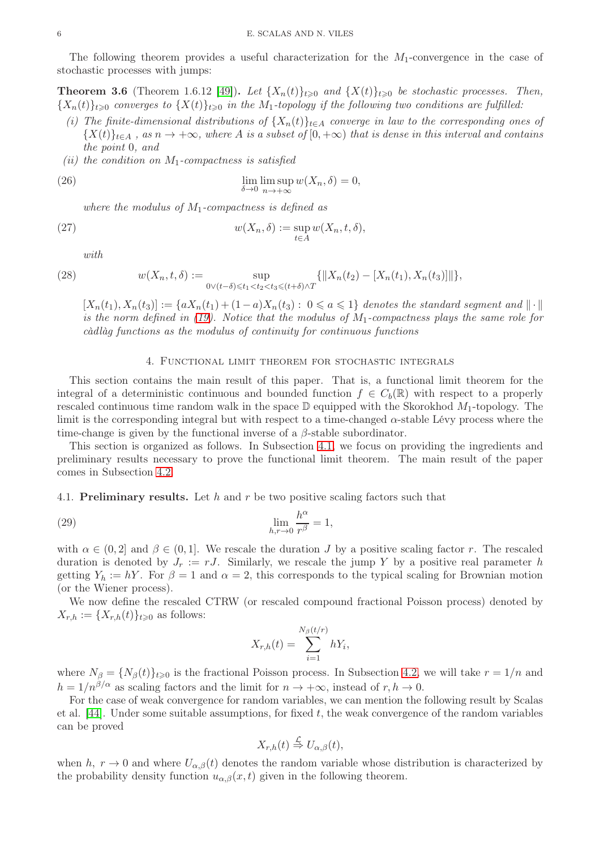The following theorem provides a useful characterization for the  $M_1$ -convergence in the case of stochastic processes with jumps:

<span id="page-6-1"></span>**Theorem 3.6** (Theorem 1.6.12 [\[49\]](#page-20-10)). Let  $\{X_n(t)\}_{t\geqslant0}$  and  $\{X(t)\}_{t\geqslant0}$  be stochastic processes. Then,  ${X_n(t)}_{t>0}$  converges to  ${X(t)}_{t>0}$  in the M<sub>1</sub>-topology if the following two conditions are fulfilled:

- (i) The finite-dimensional distributions of  $\{X_n(t)\}_{t\in A}$  converge in law to the corresponding ones of  ${X(t)}_{t\in A}$ , as  $n \to +\infty$ , where A is a subset of  $[0, +\infty)$  that is dense in this interval and contains the point 0, and
- (ii) the condition on  $M_1$ -compactness is satisfied

(26) 
$$
\lim_{\delta \to 0} \limsup_{n \to +\infty} w(X_n, \delta) = 0,
$$

where the modulus of  $M_1$ -compactness is defined as

(27) 
$$
w(X_n, \delta) := \sup_{t \in A} w(X_n, t, \delta),
$$

<span id="page-6-2"></span>with

$$
(28)
$$

(28) 
$$
w(X_n, t, \delta) := \sup_{0 \vee (t - \delta) \leq t_1 < t_2 < t_3 \leq (t + \delta) \wedge T} \{ \|X_n(t_2) - [X_n(t_1), X_n(t_3)]\| \},
$$

 $[X_n(t_1), X_n(t_3)] := \{aX_n(t_1) + (1-a)X_n(t_3): 0 \leq a \leq 1\}$  denotes the standard segment and  $\|\cdot\|$ is the norm defined in [\(19\)](#page-4-0). Notice that the modulus of  $M_1$ -compactness plays the same role for càdlàg functions as the modulus of continuity for continuous functions

### 4. Functional limit theorem for stochastic integrals

<span id="page-6-3"></span>This section contains the main result of this paper. That is, a functional limit theorem for the integral of a deterministic continuous and bounded function  $f \in C_b(\mathbb{R})$  with respect to a properly rescaled continuous time random walk in the space  $\mathbb D$  equipped with the Skorokhod  $M_1$ -topology. The limit is the corresponding integral but with respect to a time-changed  $\alpha$ -stable Lévy process where the time-change is given by the functional inverse of a  $\beta$ -stable subordinator.

This section is organized as follows. In Subsection [4.1,](#page-6-0) we focus on providing the ingredients and preliminary results necessary to prove the functional limit theorem. The main result of the paper comes in Subsection [4.2.](#page-9-0)

<span id="page-6-0"></span>4.1. **Preliminary results.** Let h and r be two positive scaling factors such that

(29) 
$$
\lim_{h,r \to 0} \frac{h^{\alpha}}{r^{\beta}} = 1,
$$

with  $\alpha \in (0, 2]$  and  $\beta \in (0, 1]$ . We rescale the duration J by a positive scaling factor r. The rescaled duration is denoted by  $J_r := rJ$ . Similarly, we rescale the jump Y by a positive real parameter h getting  $Y_h := hY$ . For  $\beta = 1$  and  $\alpha = 2$ , this corresponds to the typical scaling for Brownian motion (or the Wiener process).

We now define the rescaled CTRW (or rescaled compound fractional Poisson process) denoted by  $X_{r,h} := \{X_{r,h}(t)\}_{t\geqslant 0}$  as follows:

$$
X_{r,h}(t) = \sum_{i=1}^{N_{\beta}(t/r)} hY_i,
$$

where  $N_{\beta} = \{N_{\beta}(t)\}_{t\geqslant0}$  is the fractional Poisson process. In Subsection [4.2,](#page-9-0) we will take  $r = 1/n$  and  $h = 1/n^{\beta/\alpha}$  as scaling factors and the limit for  $n \to +\infty$ , instead of  $r, h \to 0$ .

For the case of weak convergence for random variables, we can mention the following result by Scalas et al.  $[44]$ . Under some suitable assumptions, for fixed t, the weak convergence of the random variables can be proved

$$
X_{r,h}(t) \stackrel{\mathcal{L}}{\Rightarrow} U_{\alpha,\beta}(t),
$$

when h,  $r \to 0$  and where  $U_{\alpha,\beta}(t)$  denotes the random variable whose distribution is characterized by the probability density function  $u_{\alpha,\beta}(x,t)$  given in the following theorem.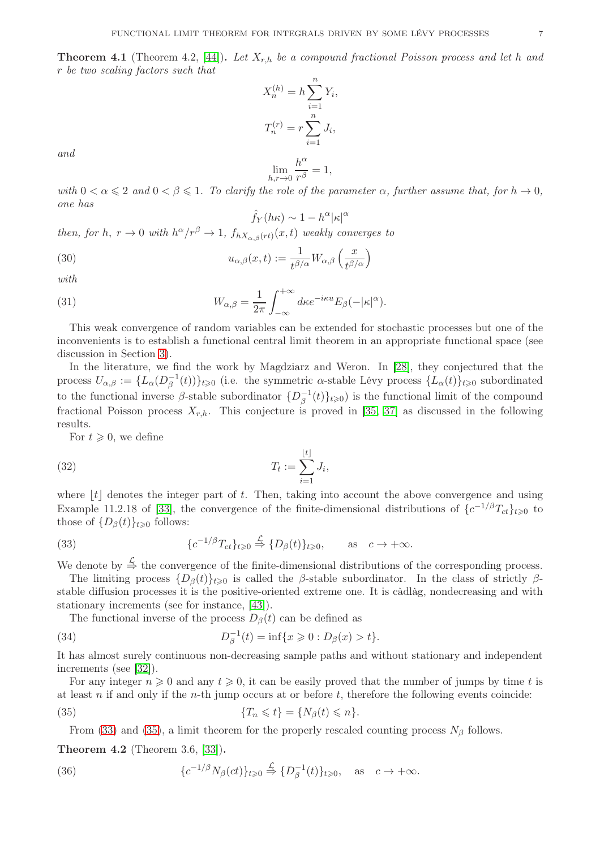$$
X_n^{(h)} = h \sum_{i=1}^n Y_i,
$$
  

$$
T_n^{(r)} = r \sum_{i=1}^n J_i,
$$
  

$$
\lim_{h \to 0} \frac{h^{\alpha}}{r^{\beta}} = 1,
$$

and

$$
\lim_{h,r\to 0}\frac{h^{\alpha}}{r^{\beta}}=1,
$$

with  $0 < \alpha \leq 2$  and  $0 < \beta \leq 1$ . To clarify the role of the parameter  $\alpha$ , further assume that, for  $h \to 0$ , one has

$$
\hat{f}_Y(h\kappa) \sim 1 - h^{\alpha} |\kappa|^{\alpha}
$$

then, for h,  $r \to 0$  with  $h^{\alpha}/r^{\beta} \to 1$ ,  $f_{hX_{\alpha,\beta}(rt)}(x,t)$  weakly converges to

(30) 
$$
u_{\alpha,\beta}(x,t) := \frac{1}{t^{\beta/\alpha}} W_{\alpha,\beta}\left(\frac{x}{t^{\beta/\alpha}}\right)
$$

$$
with
$$

(31) 
$$
W_{\alpha,\beta} = \frac{1}{2\pi} \int_{-\infty}^{+\infty} d\kappa e^{-i\kappa u} E_{\beta}(-|\kappa|^{\alpha}).
$$

This weak convergence of random variables can be extended for stochastic processes but one of the inconvenients is to establish a functional central limit theorem in an appropriate functional space (see discussion in Section [3\)](#page-3-2).

In the literature, we find the work by Magdziarz and Weron. In [\[28\]](#page-19-14), they conjectured that the process  $U_{\alpha,\beta} := \{ L_{\alpha}(D_{\beta}^{-1}) \}$  $\{\bar{B}_{\beta}(t)\}_{t\geqslant 0}$  (i.e. the symmetric  $\alpha$ -stable Lévy process  $\{L_{\alpha}(t)\}_{t\geqslant 0}$  subordinated to the functional inverse  $\beta$ -stable subordinator  $\{D_{\beta}^{-1}$  $\binom{-1}{\beta}(t)_{t\geqslant 0}$  is the functional limit of the compound fractional Poisson process  $X_{r,h}$ . This conjecture is proved in [\[35,](#page-20-12) [37\]](#page-20-13) as discussed in the following results.

 $|+|$ 

For  $t \geqslant 0$ , we define

$$
(32) \t\t T_t := \sum_{i=1}^{\lfloor t \rfloor} J_i,
$$

where  $\lfloor t \rfloor$  denotes the integer part of t. Then, taking into account the above convergence and using Example 11.2.18 of [\[33\]](#page-19-15), the convergence of the finite-dimensional distributions of  $\{c^{-1/\beta}T_{ct}\}_{t\geqslant0}$  to those of  $\{D_{\beta}(t)\}_{t\geq 0}$  follows:

<span id="page-7-0"></span>(33) 
$$
\{c^{-1/\beta}T_{ct}\}_{t\geqslant 0}\overset{\mathcal{L}}{\Rightarrow}\{D_{\beta}(t)\}_{t\geqslant 0}, \text{ as } c\to+\infty.
$$

We denote by  $\stackrel{\mathcal{L}}{\Rightarrow}$  the convergence of the finite-dimensional distributions of the corresponding process.

The limiting process  $\{D_\beta(t)\}_{t\geq 0}$  is called the  $\beta$ -stable subordinator. In the class of strictly  $\beta$ stable diffusion processes it is the positive-oriented extreme one. It is càdlàg, nondecreasing and with stationary increments (see for instance, [\[43\]](#page-20-14)).

The functional inverse of the process  $D_{\beta}(t)$  can be defined as

(34) 
$$
D_{\beta}^{-1}(t) = \inf\{x \geq 0 : D_{\beta}(x) > t\}.
$$

It has almost surely continuous non-decreasing sample paths and without stationary and independent increments (see [\[32\]](#page-19-16)).

For any integer  $n \geq 0$  and any  $t \geq 0$ , it can be easily proved that the number of jumps by time t is at least n if and only if the n-th jump occurs at or before t, therefore the following events coincide:

(35) 
$$
\{T_n \leq t\} = \{N_\beta(t) \leq n\}.
$$

<span id="page-7-1"></span>From [\(33\)](#page-7-0) and [\(35\)](#page-7-1), a limit theorem for the properly rescaled counting process  $N_\beta$  follows.

Theorem 4.2 (Theorem 3.6, [\[33\]](#page-19-15)).

(36) 
$$
\{c^{-1/\beta}N_{\beta}(ct)\}_{t\geq 0}\stackrel{\mathcal{L}}{\Rightarrow}\{D_{\beta}^{-1}(t)\}_{t\geq 0}, \text{ as } c\to+\infty.
$$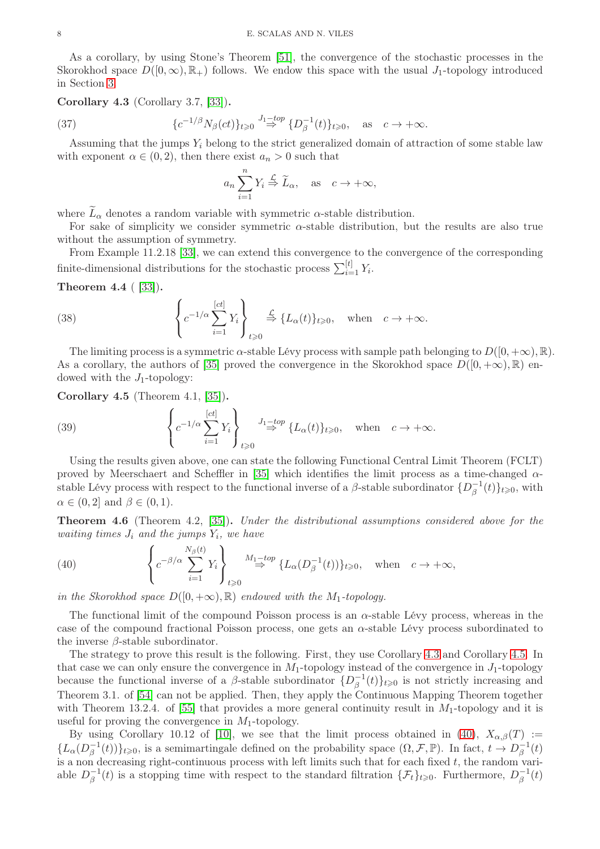As a corollary, by using Stone's Theorem [\[51\]](#page-20-8), the convergence of the stochastic processes in the Skorokhod space  $D([0,\infty), \mathbb{R}_+)$  follows. We endow this space with the usual  $J_1$ -topology introduced in Section [3.](#page-3-2)

<span id="page-8-0"></span>Corollary 4.3 (Corollary 3.7, [\[33\]](#page-19-15)).

(37) 
$$
\{c^{-1/\beta}N_{\beta}(ct)\}_{t\geq 0} \stackrel{J_1-top}{\Rightarrow} \{D_{\beta}^{-1}(t)\}_{t\geq 0}, \text{ as } c \to +\infty.
$$

Assuming that the jumps  $Y_i$  belong to the strict generalized domain of attraction of some stable law with exponent  $\alpha \in (0, 2)$ , then there exist  $a_n > 0$  such that

$$
a_n \sum_{i=1}^n Y_i \stackrel{\mathcal{L}}{\Rightarrow} \widetilde{L}_{\alpha}, \text{ as } c \to +\infty,
$$

where  $\bar{L}_{\alpha}$  denotes a random variable with symmetric  $\alpha$ -stable distribution.

For sake of simplicity we consider symmetric  $\alpha$ -stable distribution, but the results are also true without the assumption of symmetry.

From Example 11.2.18 [\[33\]](#page-19-15), we can extend this convergence to the convergence of the corresponding finite-dimensional distributions for the stochastic process  $\sum_{i=1}^{[t]} Y_i$ .

Theorem 4.4 ( [\[33\]](#page-19-15)).

(38) 
$$
\left\{ c^{-1/\alpha} \sum_{i=1}^{[ct]} Y_i \right\}_{t \geq 0} \stackrel{\mathcal{L}}{\Rightarrow} \{L_{\alpha}(t)\}_{t \geq 0}, \text{ when } c \to +\infty.
$$

The limiting process is a symmetric  $\alpha$ -stable Lévy process with sample path belonging to  $D([0, +\infty), \mathbb{R})$ . As a corollary, the authors of [\[35\]](#page-20-12) proved the convergence in the Skorokhod space  $D([0, +\infty), \mathbb{R})$  endowed with the  $J_1$ -topology:

<span id="page-8-1"></span>Corollary 4.5 (Theorem 4.1, [\[35\]](#page-20-12)).

(39) 
$$
\left\{ c^{-1/\alpha} \sum_{i=1}^{[ct]} Y_i \right\}_{t \geq 0} \stackrel{J_1-top}{\Rightarrow} \{L_\alpha(t)\}_{t \geq 0}, \text{ when } c \to +\infty.
$$

Using the results given above, one can state the following Functional Central Limit Theorem (FCLT) proved by Meerschaert and Scheffler in [\[35\]](#page-20-12) which identifies the limit process as a time-changed  $\alpha$ stable Lévy process with respect to the functional inverse of a  $\beta$ -stable subordinator  $\{D_{\beta}^{-1}$  $_{\beta}^{-1}(t)\}_{t\geqslant 0}$ , with  $\alpha \in (0,2]$  and  $\beta \in (0,1)$ .

Theorem 4.6 (Theorem 4.2, [\[35\]](#page-20-12)). Under the distributional assumptions considered above for the  $wating \ times \ J_i \ and \ the \ jumps \ Y_i, \ we \ have$ 

<span id="page-8-2"></span>(40) 
$$
\left\{ c^{-\beta/\alpha} \sum_{i=1}^{N_{\beta}(t)} Y_i \right\}_{t \geq 0} \stackrel{M_1-top}{\Rightarrow} \{L_{\alpha}(D_{\beta}^{-1}(t))\}_{t \geq 0}, \text{ when } c \to +\infty,
$$

in the Skorokhod space  $D([0, +\infty), \mathbb{R})$  endowed with the M<sub>1</sub>-topology.

The functional limit of the compound Poisson process is an  $\alpha$ -stable Lévy process, whereas in the case of the compound fractional Poisson process, one gets an  $\alpha$ -stable Lévy process subordinated to the inverse  $\beta$ -stable subordinator.

The strategy to prove this result is the following. First, they use Corollary [4.3](#page-8-0) and Corollary [4.5.](#page-8-1) In that case we can only ensure the convergence in  $M_1$ -topology instead of the convergence in  $J_1$ -topology because the functional inverse of a  $\beta$ -stable subordinator  $\{D_{\beta}^{-1}\}$  $\binom{-1}{\beta}(t)$ <sub>t</sub> $\geqslant$ <sup>0</sup> is not strictly increasing and Theorem 3.1. of [\[54\]](#page-20-15) can not be applied. Then, they apply the Continuous Mapping Theorem together with Theorem 13.2.4. of [\[55\]](#page-20-9) that provides a more general continuity result in  $M_1$ -topology and it is useful for proving the convergence in  $M_1$ -topology.

By using Corollary 10.12 of [\[10\]](#page-19-17), we see that the limit process obtained in [\(40\)](#page-8-2),  $X_{\alpha,\beta}(T) :=$  $\{L_{\alpha}(D_{\beta}^{-1})\}$  $\{(\Omega,\mathcal{F},\mathbb{P})\}\$ t $\geq 0$ , is a semimartingale defined on the probability space  $(\Omega,\mathcal{F},\mathbb{P})$ . In fact,  $t \to D_\beta^{-1}$  $\bar{\mathbf{z}}^{(t)}$ is a non decreasing right-continuous process with left limits such that for each fixed t, the random variable  $D_{\beta}^{-1}$  $\beta^{-1}(t)$  is a stopping time with respect to the standard filtration  $\{\mathcal{F}_t\}_{t\geqslant 0}$ . Furthermore,  $D_{\beta}^{-1}$  $\bar{\mathbf{z}}^{(t)}(t)$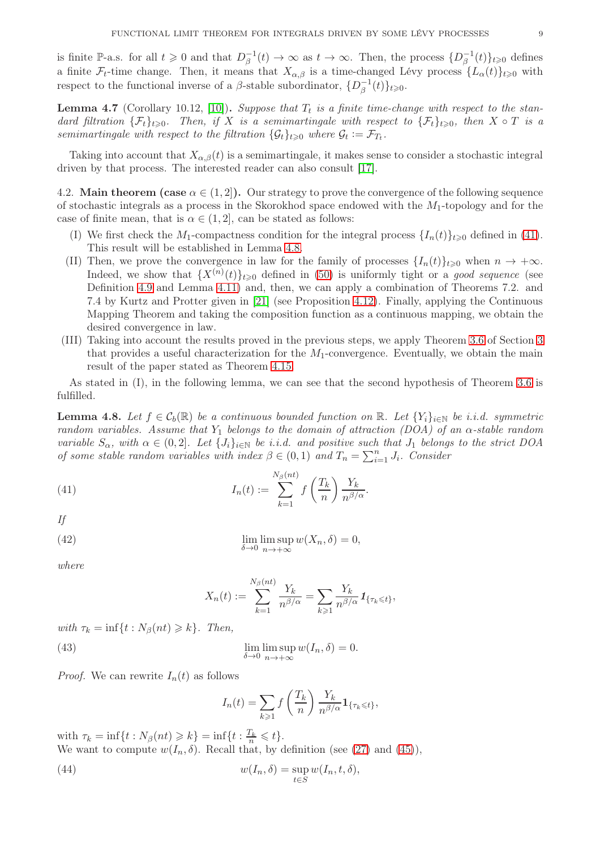is finite P-a.s. for all  $t \geqslant 0$  and that  $D_{\beta}^{-1}$  $\overline{\beta}^{-1}(t) \to \infty$  as  $t \to \infty$ . Then, the process  $\{D_{\beta}^{-1}(t)\}$  $_{\beta}^{-1}(t)\}_{t\geqslant 0}$  defines a finite  $\mathcal{F}_t$ -time change. Then, it means that  $X_{\alpha,\beta}$  is a time-changed Lévy process  $\{L_\alpha(t)\}_{t\geqslant0}$  with respect to the functional inverse of a  $\beta$ -stable subordinator,  $\{D_{\beta}^{-1}$  $_{\beta}^{-1}(t)\}_{t\geqslant0}$ .

**Lemma 4.7** (Corollary 10.12, [\[10\]](#page-19-17)). Suppose that  $T_t$  is a finite time-change with respect to the standard filtration  $\{\mathcal{F}_t\}_{t\geqslant 0}$ . Then, if X is a semimartingale with respect to  $\{\mathcal{F}_t\}_{t\geqslant 0}$ , then  $X \circ T$  is a semimartingale with respect to the filtration  $\{\mathcal{G}_t\}_{t\geqslant0}$  where  $\mathcal{G}_t := \mathcal{F}_{T_t}$ .

Taking into account that  $X_{\alpha,\beta}(t)$  is a semimartingale, it makes sense to consider a stochastic integral driven by that process. The interested reader can also consult [\[17\]](#page-19-18).

<span id="page-9-0"></span>4.2. Main theorem (case  $\alpha \in (1, 2]$ ). Our strategy to prove the convergence of the following sequence of stochastic integrals as a process in the Skorokhod space endowed with the  $M_1$ -topology and for the case of finite mean, that is  $\alpha \in (1,2]$ , can be stated as follows:

- (I) We first check the  $M_1$ -compactness condition for the integral process  $\{I_n(t)\}_{t\geq0}$  defined in [\(41\)](#page-9-1). This result will be established in Lemma [4.8.](#page-9-2)
- (II) Then, we prove the convergence in law for the family of processes  $\{I_n(t)\}_{t\geq0}$  when  $n \to +\infty$ . Indeed, we show that  $\{X^{(n)}(t)\}_{t\geqslant 0}$  defined in [\(50\)](#page-11-0) is uniformly tight or a good sequence (see Definition [4.9](#page-10-0) and Lemma [4.11\)](#page-11-1) and, then, we can apply a combination of Theorems 7.2. and 7.4 by Kurtz and Protter given in [\[21\]](#page-19-19) (see Proposition [4.12\)](#page-13-0). Finally, applying the Continuous Mapping Theorem and taking the composition function as a continuous mapping, we obtain the desired convergence in law.
- (III) Taking into account the results proved in the previous steps, we apply Theorem [3.6](#page-6-1) of Section [3](#page-3-2) that provides a useful characterization for the  $M_1$ -convergence. Eventually, we obtain the main result of the paper stated as Theorem [4.15.](#page-14-0)

As stated in (I), in the following lemma, we can see that the second hypothesis of Theorem [3.6](#page-6-1) is fulfilled.

<span id="page-9-2"></span>**Lemma 4.8.** Let  $f \in \mathcal{C}_b(\mathbb{R})$  be a continuous bounded function on  $\mathbb{R}$ . Let  $\{Y_i\}_{i\in\mathbb{N}}$  be i.i.d. symmetric random variables. Assume that Y<sub>1</sub> belongs to the domain of attraction (DOA) of an  $\alpha$ -stable random variable  $S_\alpha$ , with  $\alpha \in (0,2]$ . Let  $\{J_i\}_{i\in\mathbb{N}}$  be i.i.d. and positive such that  $J_1$  belongs to the strict DOA of some stable random variables with index  $\beta \in (0,1)$  and  $T_n = \sum_{i=1}^n J_i$ . Consider

(41) 
$$
I_n(t) := \sum_{k=1}^{N_\beta(nt)} f\left(\frac{T_k}{n}\right) \frac{Y_k}{n^{\beta/\alpha}}.
$$

If

(42) 
$$
\lim_{\delta \to 0} \limsup_{n \to +\infty} w(X_n, \delta) = 0,
$$

where

<span id="page-9-1"></span>
$$
X_n(t) := \sum_{k=1}^{N_\beta(nt)} \frac{Y_k}{n^{\beta/\alpha}} = \sum_{k \geqslant 1} \frac{Y_k}{n^{\beta/\alpha}} \mathbf{1}_{\{\tau_k \leqslant t\}},
$$

with  $\tau_k = \inf\{t : N_\beta(nt) \geq k\}$ . Then,

(43) 
$$
\lim_{\delta \to 0} \limsup_{n \to +\infty} w(I_n, \delta) = 0.
$$

*Proof.* We can rewrite  $I_n(t)$  as follows

$$
I_n(t) = \sum_{k \geq 1} f\left(\frac{T_k}{n}\right) \frac{Y_k}{n^{\beta/\alpha}} \mathbf{1}_{\{\tau_k \leq t\}},
$$

with  $\tau_k = \inf\{t : N_\beta(nt) \geq k\} = \inf\{t : \frac{T_k}{n} \leq t\}.$ We want to compute  $w(I_n, \delta)$ . Recall that, by definition (see [\(27\)](#page-6-2) and [\(45\)](#page-10-1)),

(44) 
$$
w(I_n, \delta) = \sup_{t \in S} w(I_n, t, \delta),
$$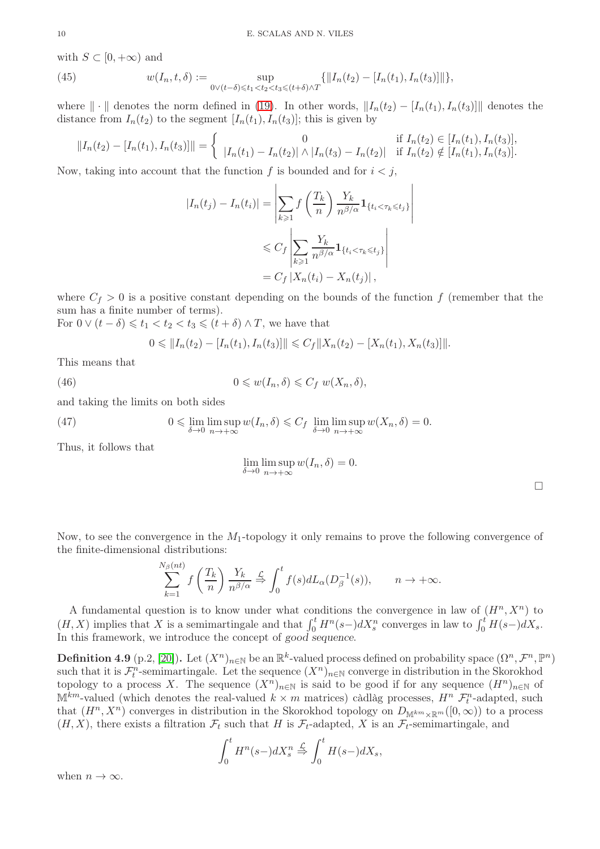with  $S \subset [0, +\infty)$  and

<span id="page-10-1"></span>(45) 
$$
w(I_n, t, \delta) := \sup_{0 \vee (t-\delta) \leq t_1 < t_2 < t_3 \leq (t+\delta) \wedge T} \{ ||I_n(t_2) - [I_n(t_1), I_n(t_3)]|| \},
$$

where  $\|\cdot\|$  denotes the norm defined in [\(19\)](#page-4-0). In other words,  $\|I_n(t_2) - [I_n(t_1), I_n(t_3)]\|$  denotes the distance from  $I_n(t_2)$  to the segment  $[I_n(t_1), I_n(t_3)]$ ; this is given by

$$
||I_n(t_2) - [I_n(t_1), I_n(t_3)]|| = \begin{cases} 0 & \text{if } I_n(t_2) \in [I_n(t_1), I_n(t_3)], \\ |I_n(t_1) - I_n(t_2)| \wedge |I_n(t_3) - I_n(t_2)| & \text{if } I_n(t_2) \notin [I_n(t_1), I_n(t_3)]. \end{cases}
$$

Now, taking into account that the function f is bounded and for  $i < j$ ,

$$
|I_n(t_j) - I_n(t_i)| = \left| \sum_{k \ge 1} f\left(\frac{T_k}{n}\right) \frac{Y_k}{n^{\beta/\alpha}} \mathbf{1}_{\{t_i < \tau_k \le t_j\}} \right|
$$
  

$$
\le C_f \left| \sum_{k \ge 1} \frac{Y_k}{n^{\beta/\alpha}} \mathbf{1}_{\{t_i < \tau_k \le t_j\}} \right|
$$
  

$$
= C_f \left| X_n(t_i) - X_n(t_j) \right|,
$$

where  $C_f > 0$  is a positive constant depending on the bounds of the function f (remember that the sum has a finite number of terms).

For 
$$
0 \vee (t - \delta) \leq t_1 < t_2 < t_3 \leq (t + \delta) \wedge T
$$
, we have that

$$
0 \leq \|I_n(t_2) - [I_n(t_1), I_n(t_3)]\| \leq C_f \|X_n(t_2) - [X_n(t_1), X_n(t_3)]\|.
$$

This means that

(46) 
$$
0 \leqslant w(I_n, \delta) \leqslant C_f w(X_n, \delta),
$$

and taking the limits on both sides

(47) 
$$
0 \leq \lim_{\delta \to 0} \limsup_{n \to +\infty} w(I_n, \delta) \leq C_f \lim_{\delta \to 0} \limsup_{n \to +\infty} w(X_n, \delta) = 0.
$$

Thus, it follows that

$$
\lim_{\delta \to 0} \limsup_{n \to +\infty} w(I_n, \delta) = 0.
$$

Now, to see the convergence in the  $M_1$ -topology it only remains to prove the following convergence of the finite-dimensional distributions:

$$
\sum_{k=1}^{N_{\beta}(nt)} f\left(\frac{T_k}{n}\right) \frac{Y_k}{n^{\beta/\alpha}} \stackrel{\mathcal{L}}{\Rightarrow} \int_0^t f(s) dL_{\alpha}(D_{\beta}^{-1}(s)), \qquad n \to +\infty.
$$

A fundamental question is to know under what conditions the convergence in law of  $(H^n, X^n)$  to  $(H, X)$  implies that X is a semimartingale and that  $\int_0^t H^n(s-)dX_s^n$  converges in law to  $\int_0^t H(s-)dX_s$ . In this framework, we introduce the concept of good sequence.

<span id="page-10-0"></span>**Definition 4.9** (p.2, [\[20\]](#page-19-20)). Let  $(X^n)_{n\in\mathbb{N}}$  be an  $\mathbb{R}^k$ -valued process defined on probability space  $(\Omega^n, \mathcal{F}^n, \mathbb{P}^n)$ such that it is  $\mathcal{F}_t^n$ -semimartingale. Let the sequence  $(X^n)_{n\in\mathbb{N}}$  converge in distribution in the Skorokhod topology to a process X. The sequence  $(X^n)_{n\in\mathbb{N}}$  is said to be good if for any sequence  $(H^n)_{n\in\mathbb{N}}$  of  $\mathbb{M}^{km}$ -valued (which denotes the real-valued  $k \times m$  matrices) càdlàg processes,  $H^n$   $\mathcal{F}_t^n$ -adapted, such that  $(H^n, X^n)$  converges in distribution in the Skorokhod topology on  $D_{\mathbb{M}^{km}\times\mathbb{R}^m}([0,\infty))$  to a process  $(H, X)$ , there exists a filtration  $\mathcal{F}_t$  such that H is  $\mathcal{F}_t$ -adapted, X is an  $\mathcal{F}_t$ -semimartingale, and

$$
\int_0^t H^n(s-)dX_s^n \stackrel{\mathcal{L}}{\Rightarrow} \int_0^t H(s-)dX_s,
$$

when  $n \to \infty$ .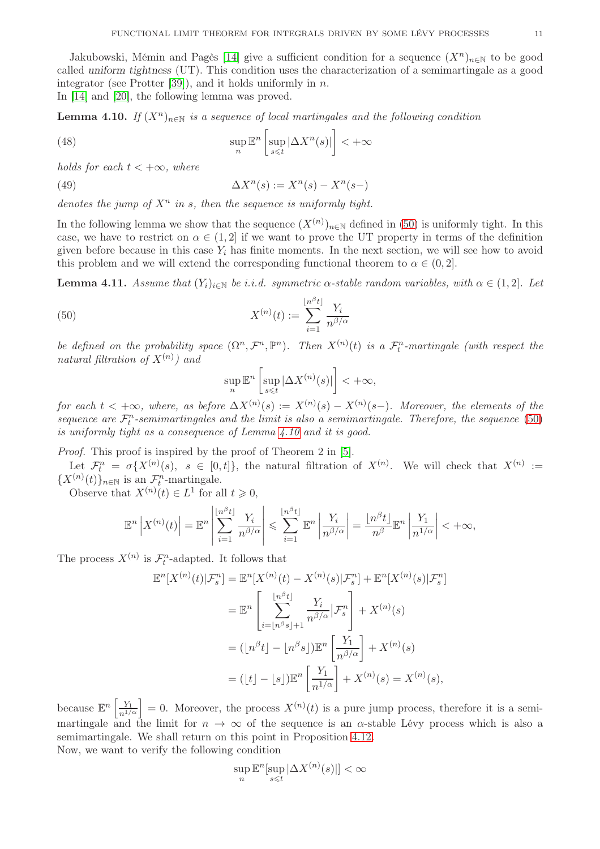Jakubowski, Mémin and Pagès [\[14\]](#page-19-21) give a sufficient condition for a sequence  $(X^n)_{n\in\mathbb{N}}$  to be good called uniform tightness (UT). This condition uses the characterization of a semimartingale as a good integrator (see Protter [\[39\]](#page-20-16)), and it holds uniformly in  $n$ . In [\[14\]](#page-19-21) and [\[20\]](#page-19-20), the following lemma was proved.

<span id="page-11-2"></span>**Lemma 4.10.** If  $(X^n)_{n\in\mathbb{N}}$  is a sequence of local martingales and the following condition

<span id="page-11-3"></span>(48) 
$$
\sup_{n} \mathbb{E}^{n} \left[ \sup_{s \leq t} |\Delta X^{n}(s)| \right] < +\infty
$$

holds for each  $t < +\infty$ , where

(49) 
$$
\Delta X^{n}(s) := X^{n}(s) - X^{n}(s-)
$$

denotes the jump of  $X^n$  in s, then the sequence is uniformly tight.

In the following lemma we show that the sequence  $(X^{(n)})_{n\in\mathbb{N}}$  defined in [\(50\)](#page-11-0) is uniformly tight. In this case, we have to restrict on  $\alpha \in (1,2]$  if we want to prove the UT property in terms of the definition given before because in this case  $Y_i$  has finite moments. In the next section, we will see how to avoid this problem and we will extend the corresponding functional theorem to  $\alpha \in (0, 2]$ .

<span id="page-11-1"></span>**Lemma 4.11.** Assume that  $(Y_i)_{i\in\mathbb{N}}$  be i.i.d. symmetric  $\alpha$ -stable random variables, with  $\alpha \in (1,2]$ . Let

(50) 
$$
X^{(n)}(t) := \sum_{i=1}^{\lfloor n^{\beta} t \rfloor} \frac{Y_i}{n^{\beta/\alpha}}
$$

be defined on the probability space  $(\Omega^n, \mathcal{F}^n, \mathbb{P}^n)$ . Then  $X^{(n)}(t)$  is a  $\mathcal{F}_t^n$ -martingale (with respect the natural filtration of  $X^{(n)}$ ) and

<span id="page-11-0"></span>
$$
\sup_n\mathbb{E}^n\left[\sup_{s\leqslant t}|\Delta X^{(n)}(s)|\right]<+\infty,
$$

for each  $t < +\infty$ , where, as before  $\Delta X^{(n)}(s) := X^{(n)}(s) - X^{(n)}(s-)$ . Moreover, the elements of the sequence are  $\mathcal{F}_t^n$ -semimartingales and the limit is also a semimartingale. Therefore, the sequence [\(50\)](#page-11-0) is uniformly tight as a consequence of Lemma [4.10](#page-11-2) and it is good.

Proof. This proof is inspired by the proof of Theorem 2 in [\[5\]](#page-19-22).

Let  $\mathcal{F}_t^n = \sigma\{X^{(n)}(s), s \in [0,t]\},$  the natural filtration of  $X^{(n)}$ . We will check that  $X^{(n)} :=$  $\{X^{(n)}(t)\}_{n\in\mathbb{N}}$  is an  $\mathcal{F}_t^n$ -martingale.

Observe that  $X^{(n)}(t) \in L^1$  for all  $t \geq 0$ ,

$$
\mathbb{E}^n\left|X^{(n)}(t)\right| = \mathbb{E}^n\left|\sum_{i=1}^{\lfloor n^{\beta} t\rfloor} \frac{Y_i}{n^{\beta/\alpha}}\right| \leqslant \sum_{i=1}^{\lfloor n^{\beta} t\rfloor} \mathbb{E}^n\left|\frac{Y_i}{n^{\beta/\alpha}}\right| = \frac{\lfloor n^{\beta} t\rfloor}{n^{\beta}} \mathbb{E}^n\left|\frac{Y_1}{n^{1/\alpha}}\right| < +\infty,
$$

The process  $X^{(n)}$  is  $\mathcal{F}_t^n$ -adapted. It follows that

$$
\mathbb{E}^{n}[X^{(n)}(t)|\mathcal{F}_{s}^{n}] = \mathbb{E}^{n}[X^{(n)}(t) - X^{(n)}(s)|\mathcal{F}_{s}^{n}] + \mathbb{E}^{n}[X^{(n)}(s)|\mathcal{F}_{s}^{n}]
$$
  
\n
$$
= \mathbb{E}^{n} \left[ \sum_{i=\lfloor n^{\beta} s \rfloor + 1}^{\lfloor n^{\beta} t \rfloor} \frac{Y_{i}}{n^{\beta/\alpha}} | \mathcal{F}_{s}^{n} \right] + X^{(n)}(s)
$$
  
\n
$$
= ( \lfloor n^{\beta} t \rfloor - \lfloor n^{\beta} s \rfloor ) \mathbb{E}^{n} \left[ \frac{Y_{1}}{n^{\beta/\alpha}} \right] + X^{(n)}(s)
$$
  
\n
$$
= ( \lfloor t \rfloor - \lfloor s \rfloor ) \mathbb{E}^{n} \left[ \frac{Y_{1}}{n^{1/\alpha}} \right] + X^{(n)}(s) = X^{(n)}(s),
$$

because  $\mathbb{E}^n\left[\frac{Y_1}{n^{1/\alpha}}\right]=0$ . Moreover, the process  $X^{(n)}(t)$  is a pure jump process, therefore it is a semimartingale and the limit for  $n \to \infty$  of the sequence is an  $\alpha$ -stable Lévy process which is also a semimartingale. We shall return on this point in Proposition [4.12.](#page-13-0)

Now, we want to verify the following condition

$$
\sup_n \mathbb{E}^n[\sup_{s \le t} |\Delta X^{(n)}(s)|] < \infty
$$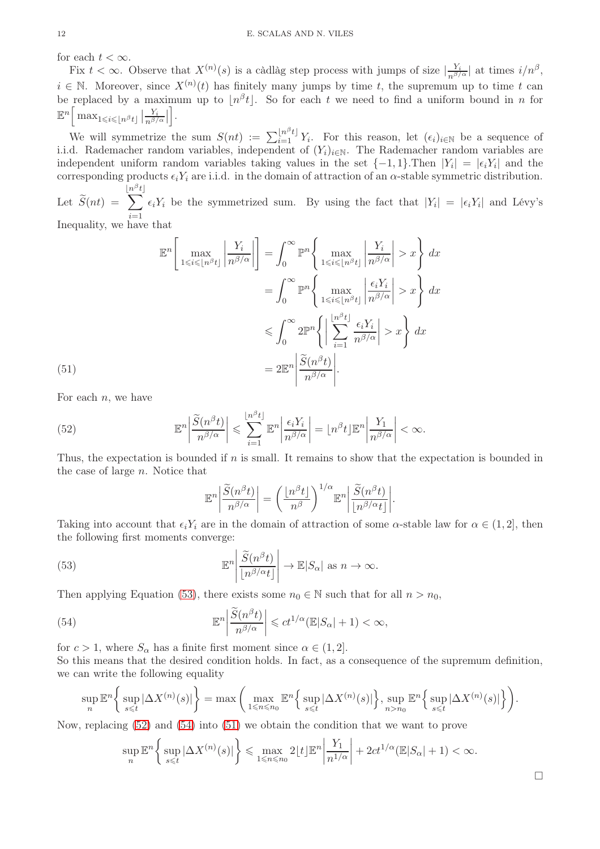for each  $t < \infty$ .

Fix  $t < \infty$ . Observe that  $X^{(n)}(s)$  is a càdlàg step process with jumps of size  $\left|\frac{Y_i}{n^{\beta/\alpha}}\right|$  at times  $i/n^{\beta}$ ,  $i \in \mathbb{N}$ . Moreover, since  $X^{(n)}(t)$  has finitely many jumps by time t, the supremum up to time t can be replaced by a maximum up to  $\lfloor n^{\beta}t \rfloor$ . So for each t we need to find a uniform bound in n for  $\mathbb{E}^n \left[ \left. \max_{1 \leqslant i \leqslant \lfloor n^\beta t \rfloor} \right| \frac{Y_i}{n^{\beta/2}} \right]$  $\frac{Y_i}{n^{\beta/\alpha}}$ i .

We will symmetrize the sum  $S(nt) := \sum_{i=1}^{\lfloor n^{\beta} t \rfloor} Y_i$ . For this reason, let  $(\epsilon_i)_{i\in\mathbb{N}}$  be a sequence of i.i.d. Rademacher random variables, independent of  $(Y_i)_{i\in\mathbb{N}}$ . The Rademacher random variables are independent uniform random variables taking values in the set  $\{-1, 1\}$ . Then  $|Y_i| = |\epsilon_i Y_i|$  and the corresponding products  $\epsilon_i Y_i$  are i.i.d. in the domain of attraction of an  $\alpha$ -stable symmetric distribution.  $\lfloor n^{\beta}$  $t\rfloor$ 

Let  $S(nt) =$  $\sqrt{ }$  $i=1$  $\epsilon_i Y_i$  be the symmetrized sum. By using the fact that  $|Y_i| = |\epsilon_i Y_i|$  and Lévy's

Inequality, we have that

$$
\mathbb{E}^{n}\left[\max_{1\leqslant i\leqslant\lfloor n^{\beta}t\rfloor}\left|\frac{Y_{i}}{n^{\beta/\alpha}}\right|\right] = \int_{0}^{\infty} \mathbb{P}^{n}\left\{\max_{1\leqslant i\leqslant\lfloor n^{\beta}t\rfloor}\left|\frac{Y_{i}}{n^{\beta/\alpha}}\right| > x\right\} dx
$$
\n
$$
= \int_{0}^{\infty} \mathbb{P}^{n}\left\{\max_{1\leqslant i\leqslant\lfloor n^{\beta}t\rfloor}\left|\frac{\epsilon_{i}Y_{i}}{n^{\beta/\alpha}}\right| > x\right\} dx
$$
\n
$$
\leqslant \int_{0}^{\infty} 2\mathbb{P}^{n}\left\{\left|\sum_{i=1}^{\lfloor n^{\beta}t\rfloor}\frac{\epsilon_{i}Y_{i}}{n^{\beta/\alpha}}\right| > x\right\} dx
$$
\n(51)\n
$$
= 2\mathbb{E}^{n}\left|\frac{\widetilde{S}(n^{\beta}t)}{n^{\beta/\alpha}}\right|.
$$

<span id="page-12-3"></span>For each  $n$ , we have

(52) 
$$
\mathbb{E}^{n} \left| \frac{\widetilde{S}(n^{\beta} t)}{n^{\beta/\alpha}} \right| \leqslant \sum_{i=1}^{\lfloor n^{\beta} t \rfloor} \mathbb{E}^{n} \left| \frac{\epsilon_{i} Y_{i}}{n^{\beta/\alpha}} \right| = \lfloor n^{\beta} t \rfloor \mathbb{E}^{n} \left| \frac{Y_{1}}{n^{\beta/\alpha}} \right| < \infty.
$$

Thus, the expectation is bounded if  $n$  is small. It remains to show that the expectation is bounded in the case of large n. Notice that

<span id="page-12-2"></span><span id="page-12-1"></span><span id="page-12-0"></span>
$$
\mathbb{E}^n \bigg| \frac{\widetilde{S}(n^{\beta} t)}{n^{\beta/\alpha}} \bigg| = \bigg( \frac{\lfloor n^{\beta} t \rfloor}{n^{\beta}} \bigg)^{1/\alpha} \mathbb{E}^n \bigg| \frac{\widetilde{S}(n^{\beta} t)}{\lfloor n^{\beta/\alpha} t \rfloor} \bigg|.
$$

Taking into account that  $\epsilon_i Y_i$  are in the domain of attraction of some  $\alpha$ -stable law for  $\alpha \in (1, 2]$ , then the following first moments converge:

(53) 
$$
\mathbb{E}^n \left| \frac{\widetilde{S}(n^{\beta} t)}{\lfloor n^{\beta/\alpha} t \rfloor} \right| \to \mathbb{E}|S_{\alpha}| \text{ as } n \to \infty.
$$

Then applying Equation [\(53\)](#page-12-0), there exists some  $n_0 \in \mathbb{N}$  such that for all  $n > n_0$ ,

(54) 
$$
\mathbb{E}^n \left| \frac{\widetilde{S}(n^{\beta} t)}{n^{\beta/\alpha}} \right| \leqslant ct^{1/\alpha} (\mathbb{E}|S_{\alpha}| + 1) < \infty,
$$

for  $c > 1$ , where  $S_{\alpha}$  has a finite first moment since  $\alpha \in (1, 2]$ . So this means that the desired condition holds. In fact, as a consequence of the supremum definition, we can write the following equality

$$
\sup_n \mathbb{E}^n \bigg\{ \sup_{s \leq t} |\Delta X^{(n)}(s)| \bigg\} = \max \bigg( \max_{1 \leq n \leq n_0} \mathbb{E}^n \bigg\{ \sup_{s \leq t} |\Delta X^{(n)}(s)| \bigg\}, \sup_{n > n_0} \mathbb{E}^n \bigg\{ \sup_{s \leq t} |\Delta X^{(n)}(s)| \bigg\} \bigg).
$$

Now, replacing [\(52\)](#page-12-1) and [\(54\)](#page-12-2) into [\(51\)](#page-12-3) we obtain the condition that we want to prove

$$
\sup_n \mathbb{E}^n \bigg\{ \sup_{s \leq t} |\Delta X^{(n)}(s)| \bigg\} \leq \max_{1 \leq n \leq n_0} 2 \lfloor t \rfloor \mathbb{E}^n \bigg| \frac{Y_1}{n^{1/\alpha}} \bigg| + 2ct^{1/\alpha}(\mathbb{E}|S_\alpha| + 1) < \infty.
$$

 $\Box$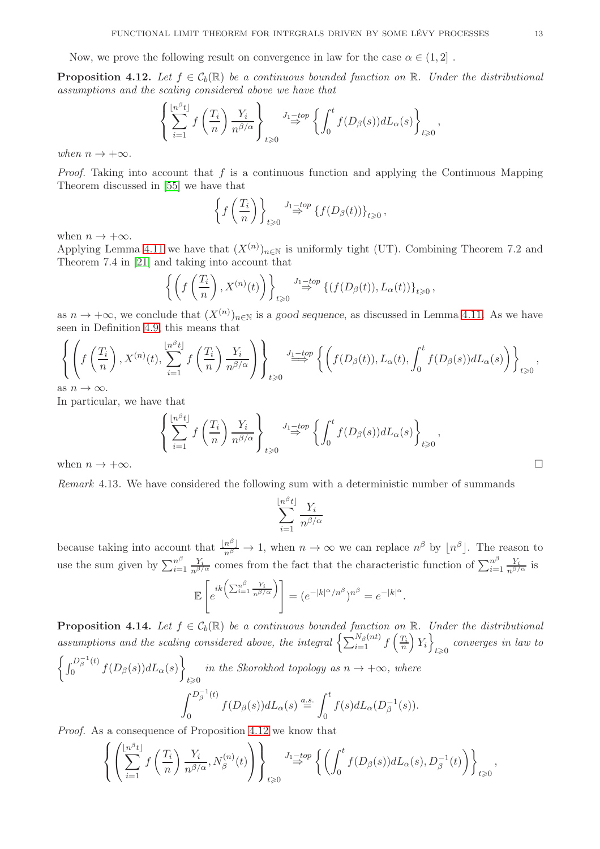Now, we prove the following result on convergence in law for the case  $\alpha \in (1,2]$ .

<span id="page-13-0"></span>**Proposition 4.12.** Let  $f \in C_b(\mathbb{R})$  be a continuous bounded function on  $\mathbb{R}$ . Under the distributional assumptions and the scaling considered above we have that

$$
\left\{\sum_{i=1}^{\lfloor n^{\beta} t \rfloor} f\left(\frac{T_i}{n}\right) \frac{Y_i}{n^{\beta/\alpha}}\right\}_{t \geqslant 0} \xrightarrow{J_1-top} \left\{\int_0^t f(D_\beta(s)) dL_\alpha(s)\right\}_{t \geqslant 0},
$$

when  $n \to +\infty$ .

*Proof.* Taking into account that f is a continuous function and applying the Continuous Mapping Theorem discussed in [\[55\]](#page-20-9) we have that

$$
\left\{f\left(\frac{T_i}{n}\right)\right\}_{t\geqslant 0} \stackrel{J_1-top}{\Rightarrow} \left\{f(D_\beta(t))\right\}_{t\geqslant 0},
$$

when  $n \to +\infty$ .

Applying Lemma [4.11](#page-11-1) we have that  $(X^{(n)})_{n\in\mathbb{N}}$  is uniformly tight (UT). Combining Theorem 7.2 and Theorem 7.4 in [\[21\]](#page-19-19) and taking into account that

$$
\left\{ \left( f\left( \frac{T_i}{n} \right), X^{(n)}(t) \right) \right\}_{t \geq 0} \stackrel{J_1 \to top}{\Rightarrow} \left\{ (f(D_\beta(t)), L_\alpha(t)) \right\}_{t \geq 0},
$$

as  $n \to +\infty$ , we conclude that  $(X^{(n)})_{n \in \mathbb{N}}$  is a good sequence, as discussed in Lemma [4.11.](#page-11-1) As we have seen in Definition [4.9,](#page-10-0) this means that

$$
\left\{ \left( f\left(\frac{T_i}{n}\right), X^{(n)}(t), \sum_{i=1}^{\lfloor n^{\beta} t \rfloor} f\left(\frac{T_i}{n}\right) \frac{Y_i}{n^{\beta/\alpha}} \right) \right\}_{t \geqslant 0} \xrightarrow{j_1 \to top} \left\{ \left( f(D_\beta(t)), L_\alpha(t), \int_0^t f(D_\beta(s)) dL_\alpha(s) \right) \right\}_{t \geqslant 0},
$$
as  $n \to \infty$ .

as  $n \to \infty$ .

In particular, we have that

$$
\left\{\sum_{i=1}^{\lfloor n^{\beta}t \rfloor} f\left(\frac{T_i}{n}\right) \frac{Y_i}{n^{\beta/\alpha}}\right\}_{t \geq 0} \xrightarrow{J_1 \text{top} \atop \beta \to 0} \left\{\int_0^t f(D_{\beta}(s)) dL_{\alpha}(s)\right\}_{t \geq 0},
$$
\n
$$
\Box
$$

Remark 4.13. We have considered the following sum with a deterministic number of summands

$$
\sum_{i=1}^{\lfloor n^{\beta} t \rfloor} \frac{Y_i}{n^{\beta/\alpha}}
$$

because taking into account that  $\frac{\lfloor n^{\beta} \rfloor}{n^{\beta}} \to 1$ , when  $n \to \infty$  we can replace  $n^{\beta}$  by  $\lfloor n^{\beta} \rfloor$ . The reason to use the sum given by  $\sum_{i=1}^{n^{\beta}}$  $\frac{n^{\beta}}{i=1} \frac{Y_i}{n^{\beta/\alpha}}$  comes from the fact that the characteristic function of  $\sum_{i=1}^{n^{\beta}}$  $\frac{n^{\beta}}{i=1} \frac{Y_i}{n^{\beta/\alpha}}$  is

$$
\mathbb{E}\left[e^{ik\left(\sum_{i=1}^{n^\beta}\frac{Y_i}{n^{\beta/\alpha}}\right)}\right] = (e^{-|k|^\alpha/n^\beta})^{n^\beta} = e^{-|k|^\alpha}.
$$

<span id="page-13-1"></span>**Proposition 4.14.** Let  $f \in C_b(\mathbb{R})$  be a continuous bounded function on  $\mathbb{R}$ . Under the distributional assumptions and the scaling considered above, the integral  $\left\{ \sum_{i=1}^{N_{\beta}(nt)} f\left(\frac{T_i}{n}\right)\right\}$  $Y_i$  $t \geqslant 0$  converges in law to

$$
\left\{\int_0^{D_\beta^{-1}(t)} f(D_\beta(s)) dL_\alpha(s)\right\}_{t\geqslant 0} \text{ in the Skorokhod topology as } n \to +\infty, \text{ where}
$$

$$
\int_0^{D_\beta^{-1}(t)} f(D_\beta(s)) dL_\alpha(s) \stackrel{a.s.}{=} \int_0^t f(s) dL_\alpha(D_\beta^{-1}(s)).
$$

Proof. As a consequence of Proposition [4.12](#page-13-0) we know that

$$
\left\{ \left( \sum_{i=1}^{\lfloor n^{\beta} t \rfloor} f\left(\frac{T_i}{n}\right) \frac{Y_i}{n^{\beta/\alpha}}, N_{\beta}^{(n)}(t) \right) \right\}_{t \geq 0} \stackrel{J_1-top \phi}{\Rightarrow} \left\{ \left( \int_0^t f(D_{\beta}(s)) dL_{\alpha}(s), D_{\beta}^{-1}(t) \right) \right\}_{t \geq 0},
$$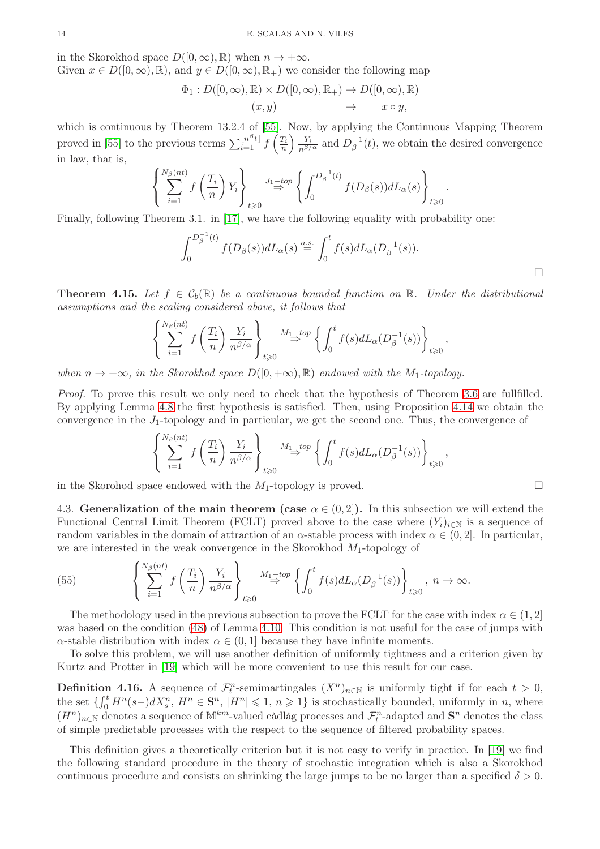in the Skorokhod space  $D([0,\infty),\mathbb{R})$  when  $n \to +\infty$ . Given  $x \in D([0,\infty),\mathbb{R})$ , and  $y \in D([0,\infty),\mathbb{R}_+)$  we consider the following map

 $\Phi_1: D([0,\infty), \mathbb{R}) \times D([0,\infty), \mathbb{R}_+) \to D([0,\infty), \mathbb{R})$ 

$$
(x,y) \rightarrow x \cup (y,\infty), \text{ as } y \rightarrow x \cup (y,\infty), \text{ as } y
$$

which is continuous by Theorem 13.2.4 of [\[55\]](#page-20-9). Now, by applying the Continuous Mapping Theorem proved in [\[55\]](#page-20-9) to the previous terms  $\sum_{i=1}^{\lfloor n^{\beta}t \rfloor} f\left(\frac{T_i}{n}\right)$  $\left(\frac{Y_i}{n^{\beta/\alpha}}\right)$  and  $D_\beta^{-1}$  $_{\beta}^{-1}(t)$ , we obtain the desired convergence in law, that is,

$$
\left\{\sum_{i=1}^{N_{\beta}(nt)} f\left(\frac{T_i}{n}\right) Y_i\right\}_{t\geqslant 0} \xrightarrow{J_1-top} \left\{\int_0^{D_{\beta}^{-1}(t)} f(D_{\beta}(s)) dL_{\alpha}(s)\right\}_{t\geqslant 0}.
$$

Finally, following Theorem 3.1. in [\[17\]](#page-19-18), we have the following equality with probability one:

$$
\int_0^{D_\beta^{-1}(t)} f(D_\beta(s)) dL_\alpha(s) \stackrel{a.s.}{=} \int_0^t f(s) dL_\alpha(D_\beta^{-1}(s)).
$$

<span id="page-14-0"></span>**Theorem 4.15.** Let  $f \in \mathcal{C}_b(\mathbb{R})$  be a continuous bounded function on  $\mathbb{R}$ . Under the distributional assumptions and the scaling considered above, it follows that

$$
\left\{\sum_{i=1}^{N_{\beta}(nt)} f\left(\frac{T_i}{n}\right) \frac{Y_i}{n^{\beta/\alpha}}\right\}_{t \geqslant 0} \stackrel{M_1-top}{\Rightarrow} \left\{\int_0^t f(s) dL_{\alpha}(D_{\beta}^{-1}(s))\right\}_{t \geqslant 0},
$$

when  $n \to +\infty$ , in the Skorokhod space  $D([0, +\infty), \mathbb{R})$  endowed with the M<sub>1</sub>-topology.

Proof. To prove this result we only need to check that the hypothesis of Theorem [3.6](#page-6-1) are fullfilled. By applying Lemma [4.8](#page-9-2) the first hypothesis is satisfied. Then, using Proposition [4.14](#page-13-1) we obtain the convergence in the  $J_1$ -topology and in particular, we get the second one. Thus, the convergence of

$$
\left\{\sum_{i=1}^{N_{\beta}(nt)} f\left(\frac{T_i}{n}\right) \frac{Y_i}{n^{\beta/\alpha}}\right\}_{t\geqslant 0} \stackrel{M_1-top}{\Rightarrow} \left\{\int_0^t f(s) dL_{\alpha}(D_{\beta}^{-1}(s))\right\}_{t\geqslant 0},
$$

in the Skorohod space endowed with the  $M_1$ -topology is proved.

4.3. Generalization of the main theorem (case  $\alpha \in (0,2]$ ). In this subsection we will extend the Functional Central Limit Theorem (FCLT) proved above to the case where  $(Y_i)_{i\in\mathbb{N}}$  is a sequence of random variables in the domain of attraction of an  $\alpha$ -stable process with index  $\alpha \in (0, 2]$ . In particular, we are interested in the weak convergence in the Skorokhod  $M_1$ -topology of

(55) 
$$
\left\{\sum_{i=1}^{N_{\beta}(nt)} f\left(\frac{T_i}{n}\right) \frac{Y_i}{n^{\beta/\alpha}}\right\}_{t \geq 0} \xrightarrow{M_1-top} \left\{\int_0^t f(s) dL_{\alpha}(D_{\beta}^{-1}(s))\right\}_{t \geq 0}, n \to \infty.
$$

The methodology used in the previous subsection to prove the FCLT for the case with index  $\alpha \in (1, 2]$ was based on the condition [\(48\)](#page-11-3) of Lemma [4.10.](#page-11-2) This condition is not useful for the case of jumps with  $\alpha$ -stable distribution with index  $\alpha \in (0,1]$  because they have infinite moments.

To solve this problem, we will use another definition of uniformly tightness and a criterion given by Kurtz and Protter in [\[19\]](#page-19-23) which will be more convenient to use this result for our case.

**Definition 4.16.** A sequence of  $\mathcal{F}_t^n$ -semimartingales  $(X^n)_{n\in\mathbb{N}}$  is uniformly tight if for each  $t > 0$ , the set  $\{ \int_0^t H^n(s-) dX_s^n, H^n \in \mathbf{S}^n, |H^n| \leqslant 1, n \geqslant 1 \}$  is stochastically bounded, uniformly in n, where  $(H^n)_{n\in\mathbb{N}}$  denotes a sequence of  $\mathbb{M}^{km}$ -valued càdlàg processes and  $\mathcal{F}_t^n$ -adapted and  $\mathbf{S}^n$  denotes the class of simple predictable processes with the respect to the sequence of filtered probability spaces.

This definition gives a theoretically criterion but it is not easy to verify in practice. In [\[19\]](#page-19-23) we find the following standard procedure in the theory of stochastic integration which is also a Skorokhod continuous procedure and consists on shrinking the large jumps to be no larger than a specified  $\delta > 0$ .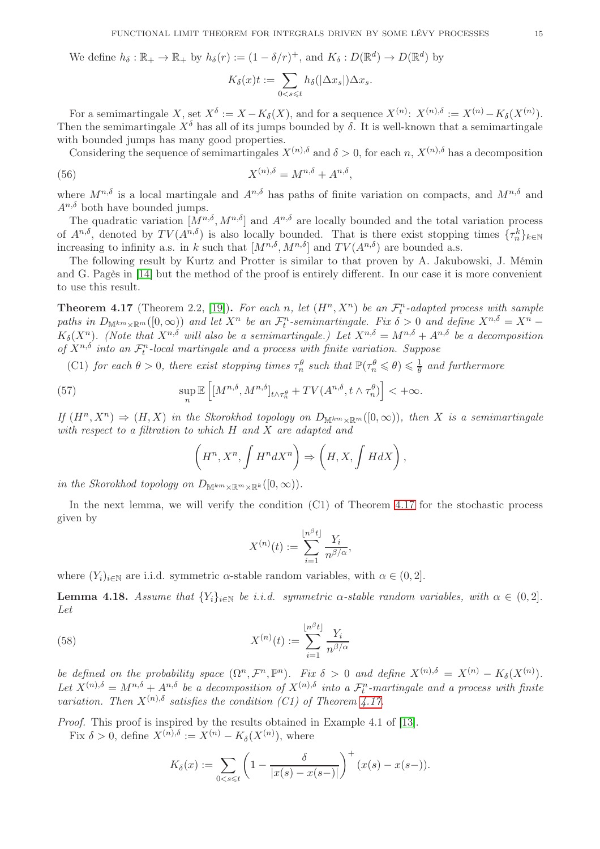We define  $h_{\delta} : \mathbb{R}_+ \to \mathbb{R}_+$  by  $h_{\delta}(r) := (1 - \delta/r)^+$ , and  $K_{\delta} : D(\mathbb{R}^d) \to D(\mathbb{R}^d)$  by

$$
K_{\delta}(x)t := \sum_{0 < s \leq t} h_{\delta}(|\Delta x_{s}|)\Delta x_{s}.
$$

For a semimartingale  $X$ , set  $X^{\delta} := X - K_{\delta}(X)$ , and for a sequence  $X^{(n)}$ :  $X^{(n),\delta} := X^{(n)} - K_{\delta}(X^{(n)})$ . Then the semimartingale  $X^{\delta}$  has all of its jumps bounded by  $\delta$ . It is well-known that a semimartingale with bounded jumps has many good properties.

Considering the sequence of semimartingales  $X^{(n),\delta}$  and  $\delta > 0$ , for each n,  $X^{(n),\delta}$  has a decomposition

(56) 
$$
X^{(n),\delta} = M^{n,\delta} + A^{n,\delta},
$$

where  $M^{n,\delta}$  is a local martingale and  $A^{n,\delta}$  has paths of finite variation on compacts, and  $M^{n,\delta}$  and  $A^{n,\delta}$  both have bounded jumps.

The quadratic variation  $[M^{n,\delta}, M^{n,\delta}]$  and  $A^{n,\delta}$  are locally bounded and the total variation process of  $A^{n,\delta}$ , denoted by  $TV(A^{n,\delta})$  is also locally bounded. That is there exist stopping times  $\{\tau_n^k\}_{k\in\mathbb{N}}$ increasing to infinity a.s. in k such that  $[M^{n,\delta}, M^{n,\delta}]$  and  $TV(A^{n,\delta})$  are bounded a.s.

The following result by Kurtz and Protter is similar to that proven by A. Jakubowski, J. Mémin and G. Pagès in [\[14\]](#page-19-21) but the method of the proof is entirely different. In our case it is more convenient to use this result.

<span id="page-15-0"></span>**Theorem 4.17** (Theorem 2.2, [\[19\]](#page-19-23)). For each n, let  $(H^n, X^n)$  be an  $\mathcal{F}_t^n$ -adapted process with sample paths in  $D_{\mathbb{M}^{km}\times\mathbb{R}^m}([0,\infty))$  and let  $X^n$  be an  $\mathcal{F}_t^n$ -semimartingale. Fix  $\delta > 0$  and define  $X^{n,\delta} = X^n K_{\delta}(X^n)$ . (Note that  $X^{n,\delta}$  will also be a semimartingale.) Let  $X^{n,\delta} = M^{n,\delta} + A^{n,\delta}$  be a decomposition of  $X^{n,\delta}$  into an  $\mathcal{F}_t^n$ -local martingale and a process with finite variation. Suppose

(C1) for each  $\theta > 0$ , there exist stopping times  $\tau_n^{\theta}$  such that  $\mathbb{P}(\tau_n^{\theta} \leq \theta) \leq \frac{1}{\theta}$  $\frac{1}{\theta}$  and furthermore

(57) 
$$
\sup_{n} \mathbb{E}\left[\left[M^{n,\delta}, M^{n,\delta}\right]_{t \wedge \tau_n^{\theta}} + TV(A^{n,\delta}, t \wedge \tau_n^{\theta})\right] < +\infty.
$$

If  $(H^n, X^n) \Rightarrow (H, X)$  in the Skorokhod topology on  $D_{\mathbb{M}^{km}\times\mathbb{R}^m}([0,\infty))$ , then X is a semimartingale with respect to a filtration to which H and X are adapted and

$$
\left(H^n, X^n, \int H^n dX^n\right) \Rightarrow \left(H, X, \int H dX\right),
$$

in the Skorokhod topology on  $D_{\mathbb{M}^{km}\times\mathbb{R}^m\times\mathbb{R}^k}([0,\infty)).$ 

In the next lemma, we will verify the condition (C1) of Theorem [4.17](#page-15-0) for the stochastic process given by

$$
X^{(n)}(t) := \sum_{i=1}^{\lfloor n^{\beta} t \rfloor} \frac{Y_i}{n^{\beta/\alpha}},
$$

where  $(Y_i)_{i\in\mathbb{N}}$  are i.i.d. symmetric  $\alpha$ -stable random variables, with  $\alpha \in (0,2]$ .

<span id="page-15-1"></span>**Lemma 4.18.** Assume that  ${Y_i}_{i \in \mathbb{N}}$  be i.i.d. symmetric  $\alpha$ -stable random variables, with  $\alpha \in (0, 2]$ . Let

(58) 
$$
X^{(n)}(t) := \sum_{i=1}^{\lfloor n^{\beta} t \rfloor} \frac{Y_i}{n^{\beta/\alpha}}
$$

be defined on the probability space  $(\Omega^n, \mathcal{F}^n, \mathbb{P}^n)$ . Fix  $\delta > 0$  and define  $X^{(n),\delta} = X^{(n)} - K_{\delta}(X^{(n)})$ . Let  $X^{(n),\delta} = M^{n,\delta} + A^{n,\delta}$  be a decomposition of  $X^{(n),\delta}$  into a  $\mathcal{F}_t^n$ -martingale and a process with finite variation. Then  $X^{(n),\delta}$  satisfies the condition (C1) of Theorem [4.17.](#page-15-0)

Proof. This proof is inspired by the results obtained in Example 4.1 of [\[13\]](#page-19-24).

Fix  $\delta > 0$ , define  $X^{(n),\delta} := X^{(n)} - K_{\delta}(X^{(n)})$ , where

$$
K_{\delta}(x) := \sum_{0 < s \leq t} \left( 1 - \frac{\delta}{|x(s) - x(s-)|} \right)^{+} (x(s) - x(s-)).
$$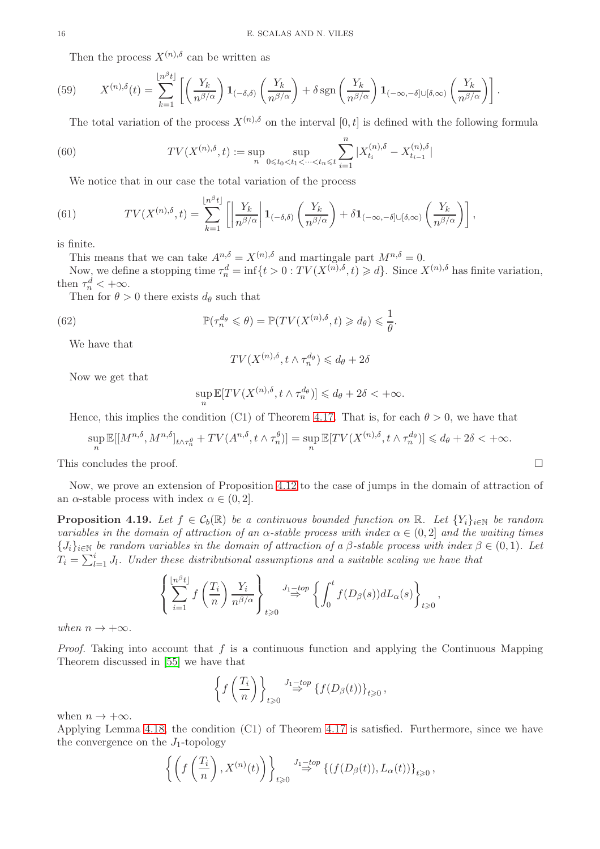Then the process  $X^{(n),\delta}$  can be written as

(59) 
$$
X^{(n),\delta}(t) = \sum_{k=1}^{\lfloor n^{\beta}t \rfloor} \left[ \left( \frac{Y_k}{n^{\beta/\alpha}} \right) \mathbf{1}_{(-\delta,\delta)} \left( \frac{Y_k}{n^{\beta/\alpha}} \right) + \delta \operatorname{sgn} \left( \frac{Y_k}{n^{\beta/\alpha}} \right) \mathbf{1}_{(-\infty,-\delta] \cup [\delta,\infty)} \left( \frac{Y_k}{n^{\beta/\alpha}} \right) \right].
$$

The total variation of the process  $X^{(n),\delta}$  on the interval  $[0, t]$  is defined with the following formula

(60) 
$$
TV(X^{(n),\delta}, t) := \sup_{n} \sup_{0 \le t_0 < t_1 < \dots < t_n \le t} \sum_{i=1}^n |X_{t_i}^{(n),\delta} - X_{t_{i-1}}^{(n),\delta}|
$$

We notice that in our case the total variation of the process

(61) 
$$
TV(X^{(n),\delta},t) = \sum_{k=1}^{\lfloor n^{\beta}t \rfloor} \left[ \left| \frac{Y_k}{n^{\beta/\alpha}} \right| \mathbf{1}_{(-\delta,\delta)} \left( \frac{Y_k}{n^{\beta/\alpha}} \right) + \delta \mathbf{1}_{(-\infty,-\delta] \cup [\delta,\infty)} \left( \frac{Y_k}{n^{\beta/\alpha}} \right) \right],
$$

is finite.

This means that we can take  $A^{n,\delta} = X^{(n),\delta}$  and martingale part  $M^{n,\delta} = 0$ .

Now, we define a stopping time  $\tau_n^d = \inf\{t > 0 : TV(X^{(n), \delta}, t) \geq d\}$ . Since  $X^{(n), \delta}$  has finite variation, then  $\tau_n^d < +\infty$ .

Then for  $\theta > 0$  there exists  $d_{\theta}$  such that

(62) 
$$
\mathbb{P}(\tau_n^{d_\theta} \leq \theta) = \mathbb{P}(TV(X^{(n),\delta},t) \geq d_\theta) \leq \frac{1}{\theta}.
$$

We have that

$$
TV(X^{(n),\delta}, t \wedge \tau_n^{d_{\theta}}) \leq d_{\theta} + 2\delta
$$

Now we get that

$$
\sup_n \mathbb{E}[TV(X^{(n),\delta}, t \wedge \tau_n^{d_{\theta}})] \leq d_{\theta} + 2\delta < +\infty.
$$

Hence, this implies the condition (C1) of Theorem [4.17.](#page-15-0) That is, for each  $\theta > 0$ , we have that

$$
\sup_n \mathbb{E}[[M^{n,\delta}, M^{n,\delta}]_{t \wedge \tau_n^{\theta}} + TV(A^{n,\delta}, t \wedge \tau_n^{\theta})] = \sup_n \mathbb{E}[TV(X^{(n),\delta}, t \wedge \tau_n^{\theta})] \leq d_{\theta} + 2\delta < +\infty.
$$

This concludes the proof.  $\Box$ 

Now, we prove an extension of Proposition [4.12](#page-13-0) to the case of jumps in the domain of attraction of an  $\alpha$ -stable process with index  $\alpha \in (0, 2]$ .

<span id="page-16-0"></span>**Proposition 4.19.** Let  $f \in \mathcal{C}_b(\mathbb{R})$  be a continuous bounded function on  $\mathbb{R}$ . Let  $\{Y_i\}_{i\in\mathbb{N}}$  be random variables in the domain of attraction of an  $\alpha$ -stable process with index  $\alpha \in (0, 2]$  and the waiting times  ${J_i}_{i \in \mathbb{N}}$  be random variables in the domain of attraction of a β-stable process with index  $\beta \in (0,1)$ . Let  $T_i = \sum_{l=1}^{i} J_l$ . Under these distributional assumptions and a suitable scaling we have that

$$
\left\{\sum_{i=1}^{\lfloor n^{\beta} t \rfloor} f\left(\frac{T_i}{n}\right) \frac{Y_i}{n^{\beta/\alpha}}\right\}_{t \geq 0} \xrightarrow{J_1-top} \left\{\int_0^t f(D_\beta(s)) dL_\alpha(s)\right\}_{t \geq 0},
$$

when  $n \to +\infty$ .

*Proof.* Taking into account that  $f$  is a continuous function and applying the Continuous Mapping Theorem discussed in [\[55\]](#page-20-9) we have that

$$
\left\{f\left(\frac{T_i}{n}\right)\right\}_{t\geqslant 0} \stackrel{J_1-top}{\Rightarrow} \left\{f(D_\beta(t))\right\}_{t\geqslant 0},
$$

when  $n \to +\infty$ .

Applying Lemma [4.18,](#page-15-1) the condition (C1) of Theorem [4.17](#page-15-0) is satisfied. Furthermore, since we have the convergence on the  $J_1$ -topology

$$
\left\{ \left( f\left( \frac{T_i}{n} \right), X^{(n)}(t) \right) \right\}_{t \geqslant 0} \stackrel{J_1-top}{\Rightarrow} \left\{ (f(D_\beta(t)), L_\alpha(t)) \right\}_{t \geqslant 0},
$$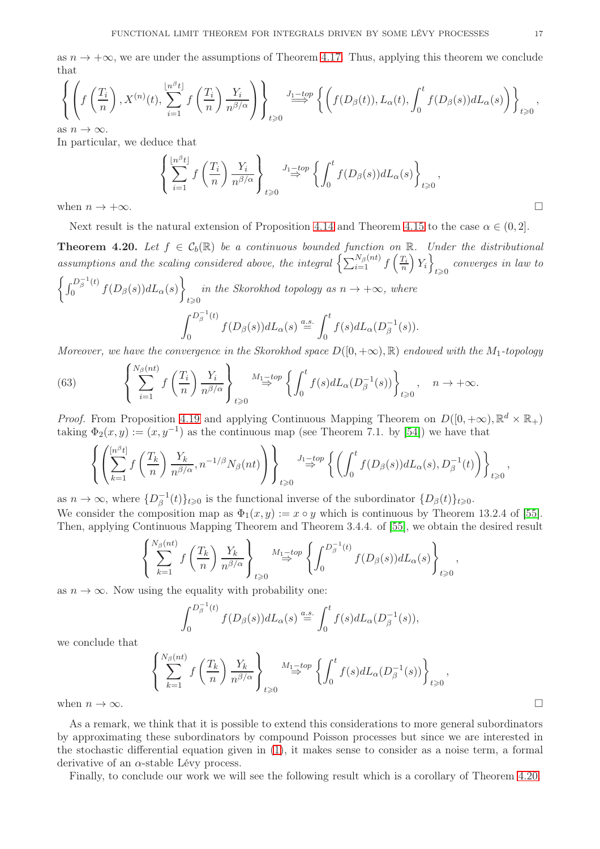as  $n \to +\infty$ , we are under the assumptions of Theorem [4.17.](#page-15-0) Thus, applying this theorem we conclude that

$$
\left\{ \left( f\left(\frac{T_i}{n}\right), X^{(n)}(t), \sum_{i=1}^{\lfloor n^{\beta} t \rfloor} f\left(\frac{T_i}{n}\right) \frac{Y_i}{n^{\beta/\alpha}} \right) \right\}_{t \geqslant 0} \xrightarrow{J_1 - top} \left\{ \left( f(D_\beta(t)), L_\alpha(t), \int_0^t f(D_\beta(s)) dL_\alpha(s) \right) \right\}_{t \geqslant 0},
$$

as  $n \to \infty$ .

In particular, we deduce that

$$
\left\{\sum_{i=1}^{\lfloor n^{\beta}t \rfloor} f\left(\frac{T_i}{n}\right) \frac{Y_i}{n^{\beta/\alpha}}\right\}_{t \geq 0} \xrightarrow{J_1 \text{top} \atop \beta \to 0} \left\{\int_0^t f(D_\beta(s)) dL_\alpha(s)\right\}_{t \geq 0},
$$
\n
$$
\Box
$$

Next result is the natural extension of Proposition [4.14](#page-13-1) and Theorem [4.15](#page-14-0) to the case  $\alpha \in (0, 2]$ .

<span id="page-17-0"></span>**Theorem 4.20.** Let  $f \in C_b(\mathbb{R})$  be a continuous bounded function on  $\mathbb{R}$ . Under the distributional assumptions and the scaling considered above, the integral  $\left\{ \sum_{i=1}^{N_{\beta}(nt)} f\left(\frac{T_i}{n}\right)\right\}$  $Y_i$  $_{t\geqslant 0}$  converges in law to  $\int_{0}^{D_{\beta}^{-1}(t)}$  $\int_0^{1-\beta} f(D_\beta(s)) dL_\alpha(s)$  $\mathcal{L}$ in the Skorokhod topology as  $n \to +\infty$ , where  $t \ge 0$  $\int_{\beta}^{D_{\beta}^{-1}(t)}$ 0  $f(D_\beta(s))dL_\alpha(s) \stackrel{a.s.}{=} \int^t$  $\theta$  $f(s)dL_{\alpha}(D_{\beta}^{-1})$  $\bar{\beta}^{\perp}(s)$ ).

Moreover, we have the convergence in the Skorokhod space  $D([0, +\infty), \mathbb{R})$  endowed with the M<sub>1</sub>-topology

(63) 
$$
\left\{\sum_{i=1}^{N_{\beta}(nt)} f\left(\frac{T_i}{n}\right) \frac{Y_i}{n^{\beta/\alpha}}\right\}_{t \geq 0} \xrightarrow{M_1-top} \left\{\int_0^t f(s) dL_{\alpha}(D_{\beta}^{-1}(s))\right\}_{t \geq 0}, \quad n \to +\infty.
$$

*Proof.* From Proposition [4.19](#page-16-0) and applying Continuous Mapping Theorem on  $D([0, +\infty), \mathbb{R}^d \times \mathbb{R}_+)$ taking  $\Phi_2(x,y) := (x, y^{-1})$  as the continuous map (see Theorem 7.1. by [\[54\]](#page-20-15)) we have that

$$
\left\{ \left( \sum_{k=1}^{[n^{\beta}t]} f\left( \frac{T_k}{n} \right) \frac{Y_k}{n^{\beta/\alpha}}, n^{-1/\beta} N_{\beta}(nt) \right) \right\}_{t \geq 0} \xrightarrow{J_1 \to op} \left\{ \left( \int_0^t f(D_{\beta}(s)) dL_{\alpha}(s), D_{\beta}^{-1}(t) \right) \right\}_{t \geq 0},
$$

as  $n \to \infty$ , where  $\{D_{\beta}^{-1}$  $\binom{-1}{\beta}(t)_{t\geqslant 0}$  is the functional inverse of the subordinator  $\{D_{\beta}(t)\}_{t\geqslant 0}$ . We consider the composition map as  $\Phi_1(x, y) := x \circ y$  which is continuous by Theorem 13.2.4 of [\[55\]](#page-20-9). Then, applying Continuous Mapping Theorem and Theorem 3.4.4. of [\[55\]](#page-20-9), we obtain the desired result

$$
\left\{\sum_{k=1}^{N_{\beta}(nt)} f\left(\frac{T_k}{n}\right) \frac{Y_k}{n^{\beta/\alpha}}\right\}_{t\geq 0} \stackrel{M_1-top}{\Rightarrow} \left\{\int_0^{D_{\beta}^{-1}(t)} f(D_{\beta}(s)) dL_{\alpha}(s)\right\}_{t\geq 0},
$$

as  $n \to \infty$ . Now using the equality with probability one:

$$
\int_0^{D_\beta^{-1}(t)} f(D_\beta(s)) dL_\alpha(s) \stackrel{a.s.}{=} \int_0^t f(s) dL_\alpha(D_\beta^{-1}(s)),
$$

we conclude that

$$
\left\{\sum_{k=1}^{N_{\beta}(nt)} f\left(\frac{T_k}{n}\right) \frac{Y_k}{n^{\beta/\alpha}}\right\}_{t \geq 0} \xrightarrow{M_1 \to top} \left\{\int_0^t f(s) dL_{\alpha}(D_{\beta}^{-1}(s))\right\}_{t \geq 0},
$$
  
when  $n \to \infty$ .

As a remark, we think that it is possible to extend this considerations to more general subordinators by approximating these subordinators by compound Poisson processes but since we are interested in the stochastic differential equation given in [\(1\)](#page-1-0), it makes sense to consider as a noise term, a formal derivative of an  $\alpha$ -stable Lévy process.

Finally, to conclude our work we will see the following result which is a corollary of Theorem [4.20.](#page-17-0)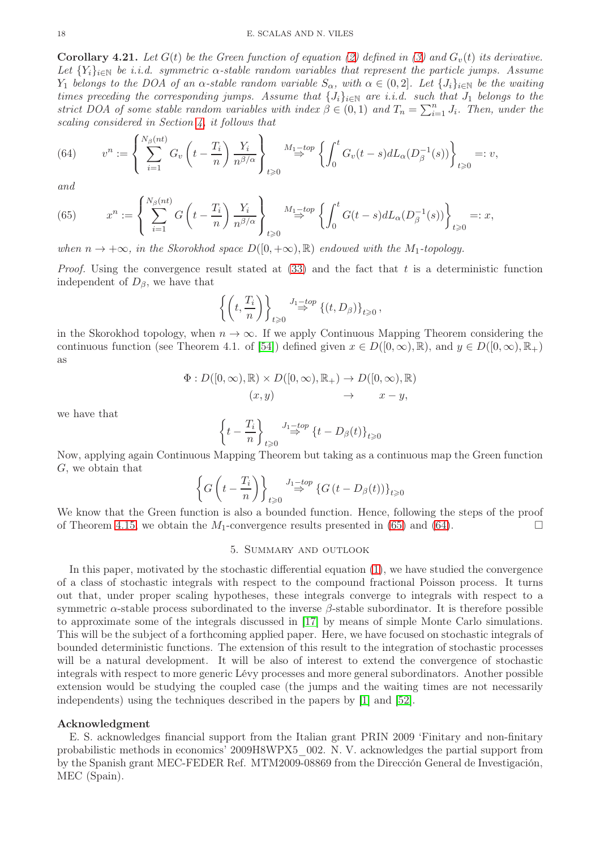#### 18 E. SCALAS AND N. VILES

**Corollary 4.21.** Let  $G(t)$  be the Green function of equation [\(2\)](#page-1-1) defined in [\(3\)](#page-1-2) and  $G_v(t)$  its derivative. Let  ${Y_i}_{i \in \mathbb{N}}$  be i.i.d. symmetric  $\alpha$ -stable random variables that represent the particle jumps. Assume Y<sub>1</sub> belongs to the DOA of an  $\alpha$ -stable random variable  $S_{\alpha}$ , with  $\alpha \in (0,2]$ . Let  $\{J_i\}_{i\in\mathbb{N}}$  be the waiting times preceding the corresponding jumps. Assume that  $\{J_i\}_{i\in\mathbb{N}}$  are i.i.d. such that  $J_1$  belongs to the strict DOA of some stable random variables with index  $\beta \in (0,1)$  and  $T_n = \sum_{i=1}^n J_i$ . Then, under the scaling considered in Section [4,](#page-6-3) it follows that

<span id="page-18-1"></span>(64) 
$$
v^n := \left\{ \sum_{i=1}^{N_\beta(nt)} G_v \left( t - \frac{T_i}{n} \right) \frac{Y_i}{n^{\beta/\alpha}} \right\}_{t \geq 0} \xrightarrow{M_1 - top} \left\{ \int_0^t G_v(t-s) dL_\alpha(D_\beta^{-1}(s)) \right\}_{t \geq 0} =: v,
$$

and

<span id="page-18-0"></span>(65) 
$$
x^n := \left\{ \sum_{i=1}^{N_\beta(nt)} G\left(t - \frac{T_i}{n}\right) \frac{Y_i}{n^{\beta/\alpha}} \right\}_{t \geq 0} \xrightarrow{M_1 - top} \left\{ \int_0^t G(t - s) dL_\alpha(D_\beta^{-1}(s)) \right\}_{t \geq 0} =: x,
$$

when  $n \to +\infty$ , in the Skorokhod space  $D([0, +\infty), \mathbb{R})$  endowed with the M<sub>1</sub>-topology.

*Proof.* Using the convergence result stated at  $(33)$  and the fact that t is a deterministic function independent of  $D_\beta$ , we have that

$$
\left\{ \left( t, \frac{T_i}{n} \right) \right\}_{t \geq 0} \stackrel{J_1-top}{\Rightarrow} \left\{ \left( t, D_\beta \right) \right\}_{t \geq 0},
$$

in the Skorokhod topology, when  $n \to \infty$ . If we apply Continuous Mapping Theorem considering the continuous function (see Theorem 4.1. of [\[54\]](#page-20-15)) defined given  $x \in D([0,\infty), \mathbb{R})$ , and  $y \in D([0,\infty), \mathbb{R}_+)$ as

$$
\Phi: D([0,\infty), \mathbb{R}) \times D([0,\infty), \mathbb{R}_+) \to D([0,\infty), \mathbb{R})
$$
  

$$
(x,y) \to x - y,
$$

we have that

$$
\left\{t-\frac{T_i}{n}\right\}_{t\geqslant 0}\stackrel{J_1-top}{\Rightarrow}\left\{t-D_\beta(t)\right\}_{t\geqslant 0}
$$

Now, applying again Continuous Mapping Theorem but taking as a continuous map the Green function G, we obtain that

$$
\left\{G\left(t-\frac{T_i}{n}\right)\right\}_{t\geq 0} \stackrel{J_1-top}{\Rightarrow} \left\{G\left(t-D_\beta(t)\right)\right\}_{t\geq 0}
$$

We know that the Green function is also a bounded function. Hence, following the steps of the proof of Theorem [4.15,](#page-14-0) we obtain the  $M_1$ -convergence results presented in [\(65\)](#page-18-0) and [\(64\)](#page-18-1).

# 5. Summary and outlook

In this paper, motivated by the stochastic differential equation [\(1\)](#page-1-0), we have studied the convergence of a class of stochastic integrals with respect to the compound fractional Poisson process. It turns out that, under proper scaling hypotheses, these integrals converge to integrals with respect to a symmetric  $\alpha$ -stable process subordinated to the inverse  $\beta$ -stable subordinator. It is therefore possible to approximate some of the integrals discussed in [\[17\]](#page-19-18) by means of simple Monte Carlo simulations. This will be the subject of a forthcoming applied paper. Here, we have focused on stochastic integrals of bounded deterministic functions. The extension of this result to the integration of stochastic processes will be a natural development. It will be also of interest to extend the convergence of stochastic integrals with respect to more generic Lévy processes and more general subordinators. Another possible extension would be studying the coupled case (the jumps and the waiting times are not necessarily independents) using the techniques described in the papers by [\[1\]](#page-19-25) and [\[52\]](#page-20-17).

## Acknowledgment

E. S. acknowledges financial support from the Italian grant PRIN 2009 'Finitary and non-finitary probabilistic methods in economics' 2009H8WPX5\_002. N. V. acknowledges the partial support from by the Spanish grant MEC-FEDER Ref. MTM2009-08869 from the Dirección General de Investigación, MEC (Spain).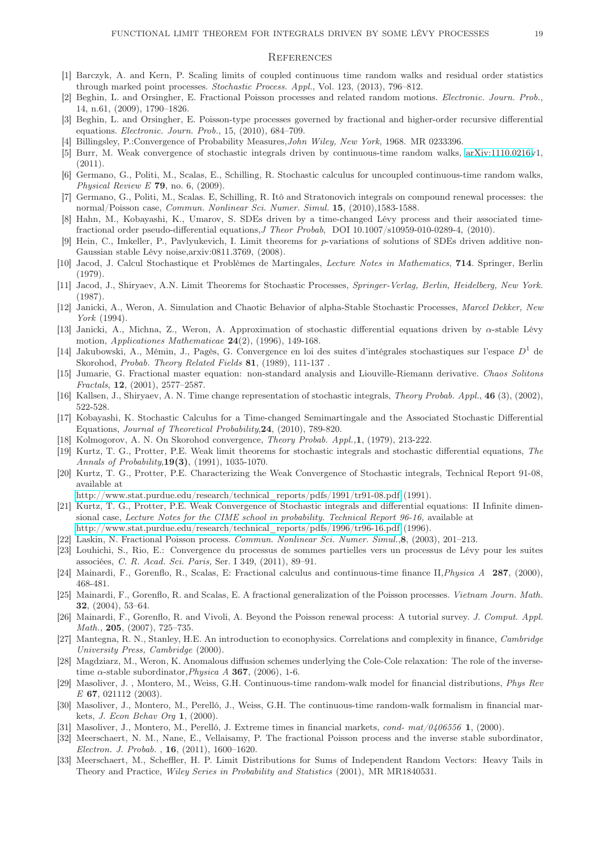### **REFERENCES**

- <span id="page-19-25"></span><span id="page-19-8"></span>[1] Barczyk, A. and Kern, P. Scaling limits of coupled continuous time random walks and residual order statistics through marked point processes. Stochastic Process. Appl., Vol. 123, (2013), 796–812.
- <span id="page-19-9"></span>[2] Beghin, L. and Orsingher, E. Fractional Poisson processes and related random motions. Electronic. Journ. Prob., 14, n.61, (2009), 1790–1826.
- [3] Beghin, L. and Orsingher, E. Poisson-type processes governed by fractional and higher-order recursive differential equations. Electronic. Journ. Prob., 15, (2010), 684–709.
- <span id="page-19-22"></span><span id="page-19-11"></span>[4] Billingsley, P.:Convergence of Probability Measures, *John Wiley, New York*, 1968. MR 0233396.
- [5] Burr, M. Weak convergence of stochastic integrals driven by continuous-time random walks, [arXiv:1110.0216v](http://arxiv.org/abs/1110.0216)1, (2011).
- <span id="page-19-10"></span>[6] Germano, G., Politi, M., Scalas, E., Schilling, R. Stochastic calculus for uncoupled continuous-time random walks, Physical Review E 79, no. 6,  $(2009)$ .
- [7] Germano, G., Politi, M., Scalas. E, Schilling, R. Itô and Stratonovich integrals on compound renewal processes: the normal/Poisson case, Commun. Nonlinear Sci. Numer. Simul. 15, (2010),1583-1588.
- [8] Hahn, M., Kobayashi, K., Umarov, S. SDEs driven by a time-changed Lévy process and their associated timefractional order pseudo-differential equations,J Theor Probab, DOI 10.1007/s10959-010-0289-4, (2010).
- [9] Hein, C., Imkeller, P., Pavlyukevich, I. Limit theorems for p-variations of solutions of SDEs driven additive non-Gaussian stable Lévy noise,arxiv:0811.3769, (2008).
- <span id="page-19-17"></span>[10] Jacod, J. Calcul Stochastique et Problèmes de Martingales, Lecture Notes in Mathematics, 714. Springer, Berlin (1979).
- <span id="page-19-13"></span>[11] Jacod, J., Shiryaev, A.N. Limit Theorems for Stochastic Processes, Springer-Verlag, Berlin, Heidelberg, New York. (1987).
- [12] Janicki, A., Weron, A. Simulation and Chaotic Behavior of alpha-Stable Stochastic Processes, Marcel Dekker, New York (1994).
- <span id="page-19-24"></span>[13] Janicki, A., Michna, Z., Weron, A. Approximation of stochastic differential equations driven by α-stable Lévy motion, Applicationes Mathematicae  $24(2)$ , (1996), 149-168.
- <span id="page-19-21"></span>[14] Jakubowski, A., Mémin, J., Pagès, G. Convergence en loi des suites d'intégrales stochastiques sur l'espace  $D<sup>1</sup>$  de Skorohod, Probab. Theory Related Fields 81, (1989), 111-137 .
- <span id="page-19-4"></span>[15] Jumarie, G. Fractional master equation: non-standard analysis and Liouville-Riemann derivative. Chaos Solitons Fractals, 12, (2001), 2577–2587.
- <span id="page-19-18"></span>[16] Kallsen, J., Shiryaev, A. N. Time change representation of stochastic integrals, Theory Probab. Appl., 46 (3), (2002), 522-528.
- [17] Kobayashi, K. Stochastic Calculus for a Time-changed Semimartingale and the Associated Stochastic Differential Equations, Journal of Theoretical Probability,24, (2010), 789-820.
- <span id="page-19-23"></span><span id="page-19-12"></span>[18] Kolmogorov, A. N. On Skorohod convergence, Theory Probab. Appl.,1, (1979), 213-222.
- [19] Kurtz, T. G., Protter, P.E. Weak limit theorems for stochastic integrals and stochastic differential equations, The Annals of Probability,19(3), (1991), 1035-1070.
- <span id="page-19-20"></span>[20] Kurtz, T. G., Protter, P.E. Characterizing the Weak Convergence of Stochastic integrals, Technical Report 91-08, available at
- <span id="page-19-19"></span>[http://www.stat.purdue.edu/research/technical\\_reports/pdfs/1991/tr91-08.pdf](http://www.stat.purdue.edu/research/technical_reports/pdfs/1991/tr91-08.pdf) (1991).
- [21] Kurtz, T. G., Protter, P.E. Weak Convergence of Stochastic integrals and differential equations: II Infinite dimensional case, Lecture Notes for the CIME school in probability. Technical Report 96-16, available at [http://www.stat.purdue.edu/research/technical\\_reports/pdfs/1996/tr96-16.pdf](http://www.stat.purdue.edu/research/technical_reports/pdfs/1996/tr96-16.pdf) (1996).
- <span id="page-19-5"></span>[22] Laskin, N. Fractional Poisson process. Commun. Nonlinear Sci. Numer. Simul.,8, (2003), 201–213.
- [23] Louhichi, S., Rio, E.: Convergence du processus de sommes partielles vers un processus de Lévy pour les suites associées, C. R. Acad. Sci. Paris, Ser. I 349, (2011), 89–91.
- <span id="page-19-6"></span><span id="page-19-0"></span>[24] Mainardi, F., Gorenflo, R., Scalas, E: Fractional calculus and continuous-time finance II,Physica A 287, (2000), 468-481.
- [25] Mainardi, F., Gorenflo, R. and Scalas, E. A fractional generalization of the Poisson processes. Vietnam Journ. Math. 32, (2004), 53–64.
- <span id="page-19-7"></span>[26] Mainardi, F., Gorenflo, R. and Vivoli, A. Beyond the Poisson renewal process: A tutorial survey. J. Comput. Appl. Math., 205, (2007), 725-735.
- [27] Mantegna, R. N., Stanley, H.E. An introduction to econophysics. Correlations and complexity in finance, Cambridge University Press, Cambridge (2000).
- <span id="page-19-14"></span>[28] Magdziarz, M., Weron, K. Anomalous diffusion schemes underlying the Cole-Cole relaxation: The role of the inversetime  $\alpha$ -stable subordinator, *Physica A* **367**, (2006), 1-6.
- <span id="page-19-1"></span>[29] Masoliver, J. , Montero, M., Weiss, G.H. Continuous-time random-walk model for financial distributions, Phys Rev E 67, 021112 (2003).
- <span id="page-19-2"></span>[30] Masoliver, J., Montero, M., Perelló, J., Weiss, G.H. The continuous-time random-walk formalism in financial markets, J. Econ Behav Org 1, (2000).
- <span id="page-19-16"></span><span id="page-19-3"></span>[31] Masoliver, J., Montero, M., Perelló, J. Extreme times in financial markets, cond- mat/0406556 1, (2000).
- [32] Meerschaert, N. M., Nane, E., Vellaisamy, P. The fractional Poisson process and the inverse stable subordinator, Electron. J. Probab. , 16, (2011), 1600–1620.
- <span id="page-19-15"></span>[33] Meerschaert, M., Scheffler, H. P. Limit Distributions for Sums of Independent Random Vectors: Heavy Tails in Theory and Practice, Wiley Series in Probability and Statistics (2001), MR MR1840531.